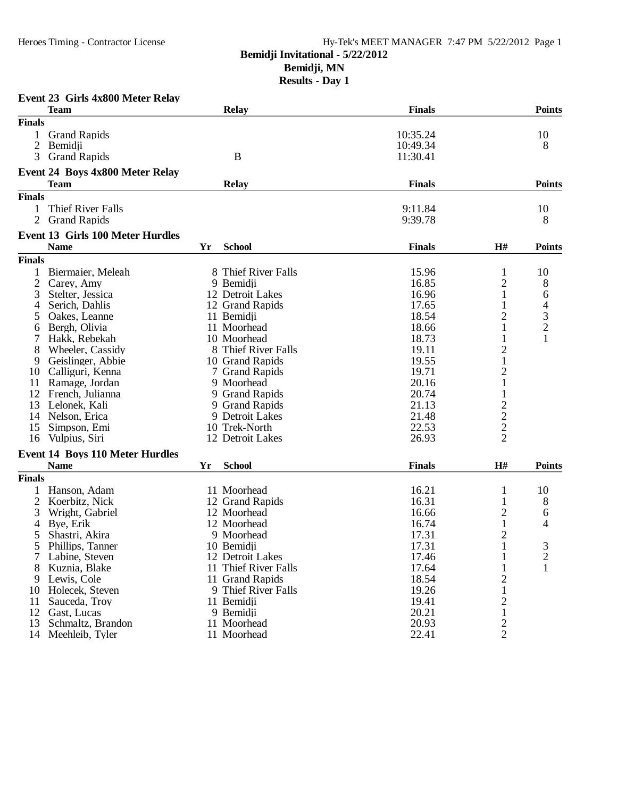## **Bemidji Invitational - 5/22/2012**

**Bemidji, MN**

|                | Event 23 Girls 4x800 Meter Relay       |    |                      |               |                                            |                                                 |
|----------------|----------------------------------------|----|----------------------|---------------|--------------------------------------------|-------------------------------------------------|
|                | <b>Team</b>                            |    | <b>Relay</b>         | <b>Finals</b> |                                            | <b>Points</b>                                   |
| <b>Finals</b>  |                                        |    |                      |               |                                            |                                                 |
| 1              | <b>Grand Rapids</b>                    |    |                      | 10:35.24      |                                            | 10                                              |
| $\overline{c}$ | Bemidji                                |    |                      | 10:49.34      |                                            | 8                                               |
| 3              | <b>Grand Rapids</b>                    |    | $\bf{B}$             | 11:30.41      |                                            |                                                 |
|                | <b>Event 24 Boys 4x800 Meter Relay</b> |    |                      |               |                                            |                                                 |
|                | <b>Team</b>                            |    | <b>Relay</b>         | <b>Finals</b> |                                            | <b>Points</b>                                   |
| <b>Finals</b>  |                                        |    |                      |               |                                            |                                                 |
| 1              | Thief River Falls                      |    |                      | 9:11.84       |                                            | 10                                              |
| 2              | <b>Grand Rapids</b>                    |    |                      | 9:39.78       |                                            | 8                                               |
|                | Event 13 Girls 100 Meter Hurdles       |    |                      |               |                                            |                                                 |
|                | <b>Name</b>                            | Yr | <b>School</b>        | <b>Finals</b> | H#                                         | <b>Points</b>                                   |
| <b>Finals</b>  |                                        |    |                      |               |                                            |                                                 |
| 1              | Biermaier, Meleah                      |    | 8 Thief River Falls  | 15.96         | $\mathbf{1}$                               | 10                                              |
| 2              | Carey, Amy                             |    | 9 Bemidji            | 16.85         | $\overline{c}$                             | 8                                               |
| 3              | Stelter, Jessica                       |    | 12 Detroit Lakes     | 16.96         | $\mathbf{1}$                               | 6                                               |
| 4              | Serich, Dahlis                         |    | 12 Grand Rapids      | 17.65         |                                            |                                                 |
| 5              | Oakes, Leanne                          |    | 11 Bemidii           | 18.54         | $\overline{2}$                             | $\begin{array}{c} 4 \\ 3 \\ 2 \\ 1 \end{array}$ |
| 6              | Bergh, Olivia                          |    | 11 Moorhead          | 18.66         | 1                                          |                                                 |
| 7              | Hakk, Rebekah                          |    | 10 Moorhead          | 18.73         | $\mathbf{1}$                               |                                                 |
| 8              | Wheeler, Cassidy                       |    | 8 Thief River Falls  | 19.11         | $\overline{c}$                             |                                                 |
| 9              | Geislinger, Abbie                      |    | 10 Grand Rapids      | 19.55         | $\mathbf{1}$                               |                                                 |
| 10             | Calliguri, Kenna                       |    | 7 Grand Rapids       | 19.71         |                                            |                                                 |
|                |                                        |    |                      | 20.16         | $\overline{c}$<br>$\mathbf{1}$             |                                                 |
| 11             | Ramage, Jordan                         |    | 9 Moorhead           |               |                                            |                                                 |
| 12             | French, Julianna                       |    | 9 Grand Rapids       | 20.74         | $\mathbf{1}$                               |                                                 |
| 13             | Lelonek, Kali                          |    | 9 Grand Rapids       | 21.13         |                                            |                                                 |
| 14             | Nelson, Erica                          |    | 9 Detroit Lakes      | 21.48         |                                            |                                                 |
| 15             | Simpson, Emi                           |    | 10 Trek-North        | 22.53         | $\begin{array}{c} 2 \\ 2 \\ 2 \end{array}$ |                                                 |
| 16             | Vulpius, Siri                          |    | 12 Detroit Lakes     | 26.93         |                                            |                                                 |
|                | <b>Event 14 Boys 110 Meter Hurdles</b> |    |                      |               |                                            |                                                 |
|                | <b>Name</b>                            | Yr | <b>School</b>        | <b>Finals</b> | H#                                         | <b>Points</b>                                   |
| <b>Finals</b>  |                                        |    |                      |               |                                            |                                                 |
|                | Hanson, Adam                           |    | 11 Moorhead          | 16.21         | $\mathbf{1}$                               | 10                                              |
| 2              | Koerbitz, Nick                         |    | 12 Grand Rapids      | 16.31         | $\mathbf{1}$                               | 8                                               |
| 3              | Wright, Gabriel                        |    | 12 Moorhead          | 16.66         | $\overline{c}$                             | 6                                               |
| 4              | Bye, Erik                              |    | 12 Moorhead          | 16.74         | $\mathbf{1}$                               | 4                                               |
| 5              | Shastri, Akira                         |    | 9 Moorhead           | 17.31         | $\overline{2}$                             |                                                 |
| $\mathcal{L}$  | Phillips, Tanner                       |    | 10 Bemidii           | 17.31         |                                            | 3                                               |
| 7              | Labine, Steven                         |    | 12 Detroit Lakes     | 17.46         | 1                                          | $\overline{c}$                                  |
| 8              | Kuznia, Blake                          |    | 11 Thief River Falls | 17.64         | $\mathbf{1}$                               | $\mathbf{1}$                                    |
| 9              | Lewis, Cole                            |    | 11 Grand Rapids      | 18.54         | $\overline{c}$                             |                                                 |
|                | 10 Holecek, Steven                     |    | 9 Thief River Falls  | 19.26         | $\mathbf{1}$                               |                                                 |
|                |                                        |    |                      | 19.41         |                                            |                                                 |
| 11             | Sauceda, Troy                          |    | 11 Bemidji           |               | 2                                          |                                                 |
| 12             | Gast, Lucas                            |    | 9 Bemidji            | 20.21         | $\mathbf{1}$                               |                                                 |
| 13             | Schmaltz, Brandon                      |    | 11 Moorhead          | 20.93         | $\mathbf{2}$                               |                                                 |
|                | 14 Meehleib, Tyler                     |    | 11 Moorhead          | 22.41         | $\overline{2}$                             |                                                 |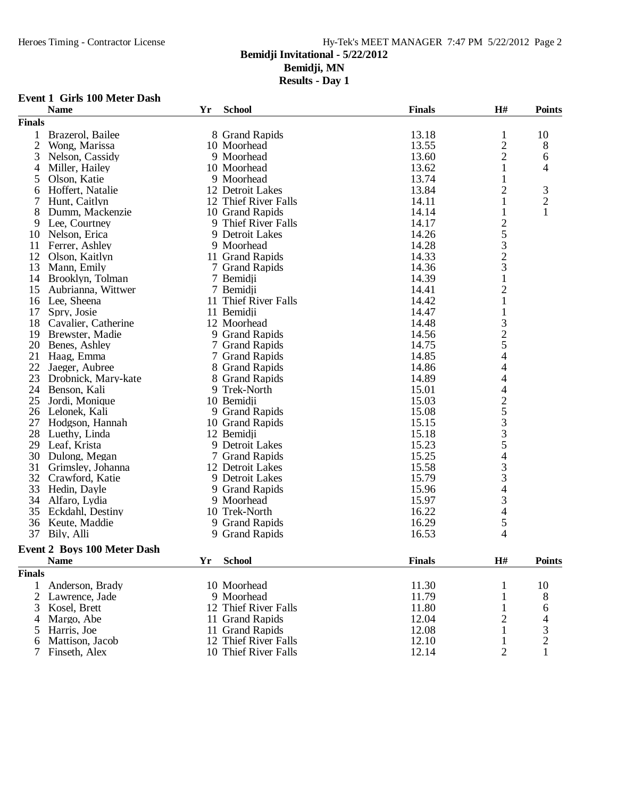**Results - Day 1**

#### **Event 1 Girls 100 Meter Dash**

|                | <b>Name</b>                        | Yr | <b>School</b>        | <b>Finals</b> | H#                                         | <b>Points</b>  |
|----------------|------------------------------------|----|----------------------|---------------|--------------------------------------------|----------------|
| <b>Finals</b>  |                                    |    |                      |               |                                            |                |
| 1              | Brazerol, Bailee                   |    | 8 Grand Rapids       | 13.18         | $\mathbf{1}$                               | 10             |
| $\overline{2}$ | Wong, Marissa                      |    | 10 Moorhead          | 13.55         | $\overline{c}$                             | 8              |
| 3              | Nelson, Cassidy                    |    | 9 Moorhead           | 13.60         | $\overline{2}$                             | 6              |
| 4              | Miller, Hailey                     |    | 10 Moorhead          | 13.62         | 1                                          | 4              |
| 5              | Olson, Katie                       |    | 9 Moorhead           | 13.74         | 1                                          |                |
| 6              | Hoffert, Natalie                   |    | 12 Detroit Lakes     | 13.84         | $\overline{c}$                             | $\mathfrak{Z}$ |
| 7              | Hunt, Caitlyn                      |    | 12 Thief River Falls | 14.11         | 1                                          | $\overline{c}$ |
| 8              | Dumm, Mackenzie                    |    | 10 Grand Rapids      | 14.14         | 1                                          | $\mathbf{1}$   |
| 9              | Lee, Courtney                      |    | 9 Thief River Falls  | 14.17         |                                            |                |
| 10             | Nelson, Erica                      |    | 9 Detroit Lakes      | 14.26         |                                            |                |
| 11             | Ferrer, Ashley                     |    | 9 Moorhead           | 14.28         | $253$<br>$23$                              |                |
| 12             | Olson, Kaitlyn                     |    | 11 Grand Rapids      | 14.33         |                                            |                |
| 13             | Mann, Emily                        |    | 7 Grand Rapids       | 14.36         |                                            |                |
| 14             | Brooklyn, Tolman                   |    | 7 Bemidji            | 14.39         | $\mathbf{1}$                               |                |
| 15             | Aubrianna, Wittwer                 |    | 7 Bemidji            | 14.41         | $\overline{c}$                             |                |
|                |                                    |    | 11 Thief River Falls | 14.42         | $\mathbf{1}$                               |                |
| 16             | Lee, Sheena                        |    |                      |               |                                            |                |
| 17             | Spry, Josie                        |    | 11 Bemidji           | 14.47         | $\mathbf{1}$                               |                |
| 18             | Cavalier, Catherine                |    | 12 Moorhead          | 14.48         |                                            |                |
| 19             | Brewster, Madie                    |    | 9 Grand Rapids       | 14.56         |                                            |                |
| 20             | Benes, Ashley                      |    | 7 Grand Rapids       | 14.75         | $\frac{3}{2}$ 5 4                          |                |
| 21             | Haag, Emma                         |    | 7 Grand Rapids       | 14.85         |                                            |                |
| 22             | Jaeger, Aubree                     |    | 8 Grand Rapids       | 14.86         | 4                                          |                |
| 23             | Drobnick, Mary-kate                |    | 8 Grand Rapids       | 14.89         | 4                                          |                |
| 24             | Benson, Kali                       |    | 9 Trek-North         | 15.01         | $\overline{\mathcal{L}}$                   |                |
| 25             | Jordi, Monique                     |    | 10 Bemidji           | 15.03         |                                            |                |
| 26             | Lelonek, Kali                      |    | 9 Grand Rapids       | 15.08         | $2533$<br>335                              |                |
| 27             | Hodgson, Hannah                    |    | 10 Grand Rapids      | 15.15         |                                            |                |
| 28             | Luethy, Linda                      |    | 12 Bemidji           | 15.18         |                                            |                |
| 29             | Leaf, Krista                       |    | 9 Detroit Lakes      | 15.23         |                                            |                |
| 30             | Dulong, Megan                      |    | 7 Grand Rapids       | 15.25         | $\overline{\mathcal{L}}$                   |                |
| 31             | Grimsley, Johanna                  |    | 12 Detroit Lakes     | 15.58         | $\begin{array}{c} 3 \\ 3 \\ 4 \end{array}$ |                |
| 32             | Crawford, Katie                    |    | 9 Detroit Lakes      | 15.79         |                                            |                |
| 33             | Hedin, Dayle                       |    | 9 Grand Rapids       | 15.96         |                                            |                |
| 34             | Alfaro, Lydia                      |    | 9 Moorhead           | 15.97         | 3                                          |                |
| 35             | Eckdahl, Destiny                   |    | 10 Trek-North        | 16.22         | $\overline{4}$                             |                |
| 36             | Keute, Maddie                      |    | 9 Grand Rapids       | 16.29         | 5                                          |                |
|                | 37 Bily, Alli                      |    | 9 Grand Rapids       | 16.53         | 4                                          |                |
|                | <b>Event 2 Boys 100 Meter Dash</b> |    |                      |               |                                            |                |
|                | <b>Name</b>                        | Yr | <b>School</b>        | <b>Finals</b> | $\mathbf{H}$ #                             | Points         |
| <b>Finals</b>  |                                    |    |                      |               |                                            |                |
|                |                                    |    |                      |               |                                            |                |
| 1              | Anderson, Brady                    |    | 10 Moorhead          | 11.30         | 1                                          | 10             |
| $\overline{c}$ | Lawrence, Jade                     |    | 9 Moorhead           | 11.79         | 1                                          | 8              |
| 3              | Kosel, Brett                       |    | 12 Thief River Falls | 11.80         | $\mathbf{1}$                               | 6              |
| 4              | Margo, Abe                         |    | 11 Grand Rapids      | 12.04         | $\overline{c}$                             | 4              |
| 5              | Harris, Joe                        |    | 11 Grand Rapids      | 12.08         | 1                                          | 3              |
| 6              | Mattison, Jacob                    |    | 12 Thief River Falls | 12.10         | 1                                          | 2              |
| 7              | Finseth, Alex                      |    | 10 Thief River Falls | 12.14         | 2                                          | $\mathbf{1}$   |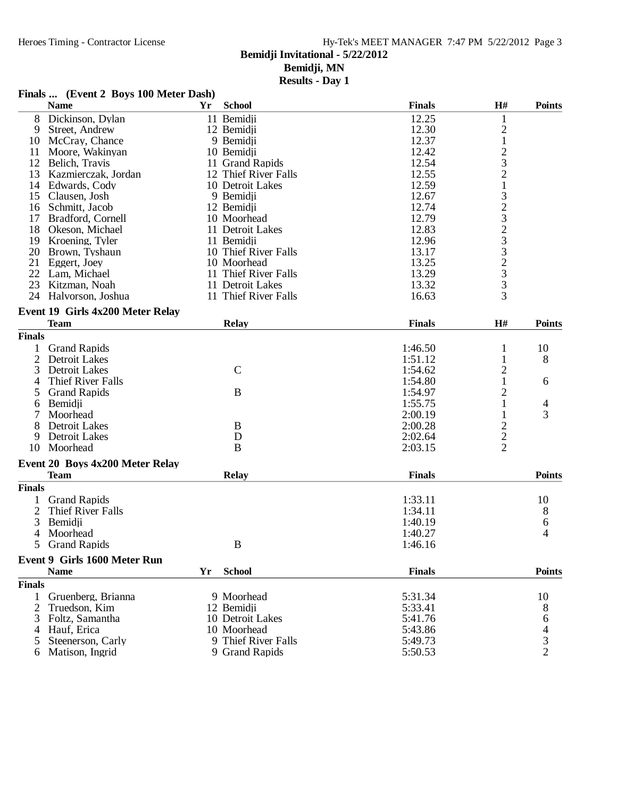**Results - Day 1**

#### **Finals ... (Event 2 Boys 100 Meter Dash) Name Yr School Finals H# Points** 8 Dickinson, Dylan 11 Bemidji 12.25 1<br>
9 Street, Andrew 12 Bemidji 12.30 2 9 Street, Andrew 12 Bemidji 12.30 2<br>
12 Bemidji 12.30 2<br>
12 Bemidji 12.37 1 10 McCray, Chance 9 Bemidii 12.37 1<br>
11 Moore, Wakinyan 10 Bemidii 12.42 2<br>
12 Belich, Travis 11 Grand Rapids 12.54 3 11 Moore, Wakinyan 10 Bemidji 12.42<br>12 Belich Travis 11 Grand Rapids 12.54 12 Belich, Travis 11 Grand Rapids 12.54 3<br>13 Kazmierczak, Jordan 12 Thief River Falls 12.55 2 13 Kazmierczak, Jordan 12 Thief River Falls 12.55 2<br>14 Edwards. Cody 10 Detroit Lakes 12.59 1 14 Edwards, Cody 10 Detroit Lakes 12.59 1<br>15 Clausen, Josh 9 Bemidii 12.67 3 15 Clausen, Josh 9 Bemidji 12.67 3<br>16 Schmitt, Jacob 12 Bemidii 12.74 2 16 Schmitt, Jacob 12 Bemidji 12.74 2<br>
17 Bradford, Cornell 10 Moorhead 12.79 3<br>
18 Okeson, Michael 11 Detroit Lakes 12.83 2 17 Bradford, Cornell 10 Moorhead 12.79<br>18 Okeson, Michael 11 Detroit Lakes 12.83 18 Okeson, Michael 11 Detroit Lakes 12.83 2<br>19 Kroening. Tyler 11 Bemidii 12.96 3 19 Kroening, Tyler 11 Bemidii 12.96 3<br>
20 Brown, Tyshaun 10 Thief River Falls 13.17 3 10 Thief River Falls 13.17 3<br>10 Moorhead 13.25 2 21 Eggert, Joey 10 Moorhead 13.25 2<br>22 Lam, Michael 11 Thief River Falls 13.29 3 11 Thief River Falls 13.29 3<br>
12 Detroit Lakes 13.32 3<br>
12 Thief River Falls 16.63 3 23 Kitzman, Noah 11 Detroit Lakes 13.32<br>24 Halvorson, Joshua 11 Thief River Falls 16.63 24 Halvorson, Joshua **Event 19 Girls 4x200 Meter Relay Team Relay Finals H# Points Finals** 1 Grand Rapids 1:46.50 1 10<br>2 Detroit Lakes 1:51.12 1 8 2 Detroit Lakes 1:51.12 1<br>3 Detroit Lakes 1:54.62 2 3 Detroit Lakes 2<br>
4 Thief River Falls 2<br>
1:54.80 1 4 Thief River Falls 1:54.80 1 6<br>5 Grand Rapids 1:54.97 2 6 5 Grand Rapids B 1:54.97 2<br>6 Bemidii 1:55.75 1 6 Bemidii 1:55.75 1 4 7 Moorhead 2:00.19 1 3 8 Detroit Lakes B<br>
9 Detroit Lakes B<br>
0 Moorhead B<br>
8 2:02.64 2<br>
2:03.15 2 Detroit Lakes D<br>  $\qquad \qquad \text{D}$  2:02.64<br>  $\qquad \qquad \text{A}$  2:03.15 10 Moorhead **Event 20 Boys 4x200 Meter Relay Team Relay Finals Points Finals** 1 Grand Rapids 1:33.11 10<br>
2 Thief River Falls 10<br>
2 1:34.11 10 2 Thief River Falls 8<br>3 Bemidii 1:34.11 8<br>6 6 3 Bemidji 1:40.19 6 4 Moorhead 1:40.27 4 5 Grand Rapids B 1:46.16 **Event 9 Girls 1600 Meter Run Name Yr School Finals Points Finals** 1 Gruenberg, Brianna 19 Moorhead 5:31.34 10<br>2 Truedson. Kim 12 Bemidii 5:33.41 8 2 Truedson, Kim 12 Bemidji 5:33.41 8 3 Foltz, Samantha 10 Detroit Lakes 5:41.76 6 4 Hauf, Erica 10 Moorhead 5:43.86 4<br>5 Steenerson, Carly 9 Thief River Falls 5:49.73 3

9 Grand Rapids 5:50.53

5 Steenerson, Carly 9 Thief River Falls 5:49.73 3<br>5 Matison, Ingrid 9 Grand Rapids 5:50.53 2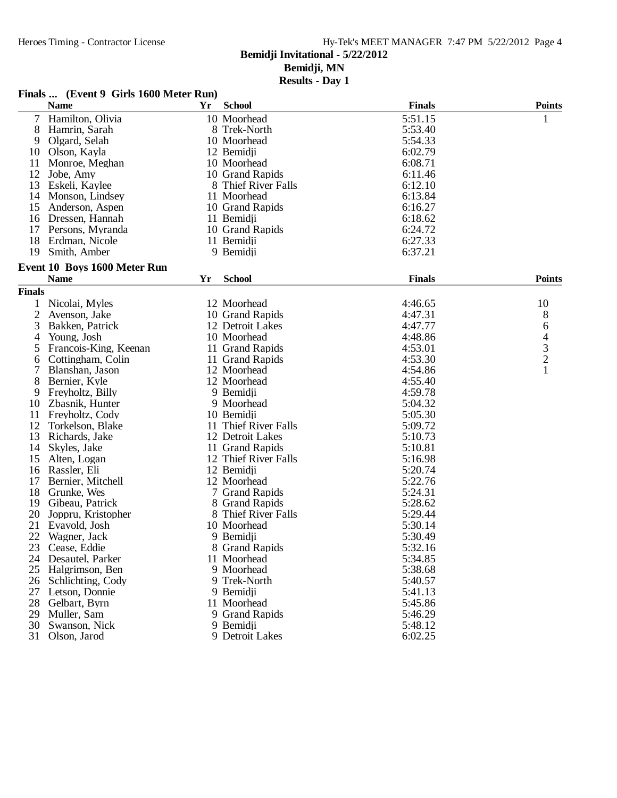**Results - Day 1**

#### **Finals ... (Event 9 Girls 1600 Meter Run)**

| 5:51.15<br>7 Hamilton, Olivia<br>10 Moorhead<br>1<br>8<br>Hamrin, Sarah<br>8 Trek-North<br>5:53.40<br>9<br>Olgard, Selah<br>10 Moorhead<br>5:54.33<br>12 Bemidji<br>6:02.79<br>10<br>Olson, Kayla<br>6:08.71<br>11<br>10 Moorhead<br>Monroe, Meghan<br>12<br>Jobe, Amy<br>10 Grand Rapids<br>6:11.46<br>8 Thief River Falls<br>6:12.10<br>13<br>Eskeli, Kaylee<br>11 Moorhead<br>6:13.84<br>14<br>Monson, Lindsey<br>15<br>10 Grand Rapids<br>6:16.27<br>Anderson, Aspen<br>6:18.62<br>16<br>Dressen, Hannah<br>11 Bemidji<br>17<br>Persons, Myranda<br>10 Grand Rapids<br>6:24.72<br>6:27.33<br>18<br>Erdman, Nicole<br>11 Bemidji<br>9 Bemidji<br>6:37.21<br>19<br>Smith, Amber<br>Event 10 Boys 1600 Meter Run<br><b>School</b><br><b>Finals</b><br><b>Points</b><br><b>Name</b><br>Yr<br><b>Finals</b><br>10<br>Nicolai, Myles<br>12 Moorhead<br>4:46.65<br>1<br>$\overline{c}$<br>8<br>Avenson, Jake<br>10 Grand Rapids<br>4:47.31<br>3<br>Bakken, Patrick<br>12 Detroit Lakes<br>4:47.77<br>6<br>4<br>Young, Josh<br>10 Moorhead<br>4:48.86<br>4<br>$\frac{3}{2}$<br>5<br>Francois-King, Keenan<br>11 Grand Rapids<br>4:53.01<br>Cottingham, Colin<br>11 Grand Rapids<br>4:53.30<br>6<br>$\mathbf{1}$<br>7<br>Blanshan, Jason<br>12 Moorhead<br>4:54.86<br>8<br>4:55.40<br>Bernier, Kyle<br>12 Moorhead<br>4:59.78<br>Freyholtz, Billy<br>9 Bemidji<br>9<br>5:04.32<br>10<br>Zbasnik, Hunter<br>9 Moorhead<br>11<br>Freyholtz, Cody<br>10 Bemidji<br>5:05.30<br>12<br>Torkelson, Blake<br>11 Thief River Falls<br>5:09.72<br>13<br>5:10.73<br>Richards, Jake<br>12 Detroit Lakes<br>14<br>5:10.81<br>Skyles, Jake<br>11 Grand Rapids<br>15<br>12 Thief River Falls<br>5:16.98<br>Alten, Logan<br>12 Bemidji<br>5:20.74<br>16<br>Rassler, Eli<br>17<br>12 Moorhead<br>5:22.76<br>Bernier, Mitchell<br>18<br>Grunke, Wes<br>7 Grand Rapids<br>5:24.31<br>19<br>8 Grand Rapids<br>5:28.62<br>Gibeau, Patrick<br>20<br>8 Thief River Falls<br>5:29.44<br>Joppru, Kristopher<br>5:30.14<br>21<br>Evavold, Josh<br>10 Moorhead<br>22<br>Wagner, Jack<br>9 Bemidji<br>5:30.49<br>23 Cease, Eddie<br>5:32.16<br>8 Grand Rapids<br>24<br>Desautel, Parker<br>5:34.85<br>11 Moorhead<br>5:38.68<br>25<br>Halgrimson, Ben<br>9 Moorhead<br>9 Trek-North<br>5:40.57<br>26<br>Schlichting, Cody<br>5:41.13<br>27<br>9 Bemidji<br>Letson, Donnie<br>28<br>5:45.86<br>Gelbart, Byrn<br>11 Moorhead |    | <b>Name</b> | Yr | <b>School</b>  | <b>Finals</b> | <b>Points</b> |
|-------------------------------------------------------------------------------------------------------------------------------------------------------------------------------------------------------------------------------------------------------------------------------------------------------------------------------------------------------------------------------------------------------------------------------------------------------------------------------------------------------------------------------------------------------------------------------------------------------------------------------------------------------------------------------------------------------------------------------------------------------------------------------------------------------------------------------------------------------------------------------------------------------------------------------------------------------------------------------------------------------------------------------------------------------------------------------------------------------------------------------------------------------------------------------------------------------------------------------------------------------------------------------------------------------------------------------------------------------------------------------------------------------------------------------------------------------------------------------------------------------------------------------------------------------------------------------------------------------------------------------------------------------------------------------------------------------------------------------------------------------------------------------------------------------------------------------------------------------------------------------------------------------------------------------------------------------------------------------------------------------------------------------------------------------------------------------------------------------------------------------------------------------------------------------------------------------------------------------------------------------------------------------------------------------------------------------------------------------------------------------------------|----|-------------|----|----------------|---------------|---------------|
|                                                                                                                                                                                                                                                                                                                                                                                                                                                                                                                                                                                                                                                                                                                                                                                                                                                                                                                                                                                                                                                                                                                                                                                                                                                                                                                                                                                                                                                                                                                                                                                                                                                                                                                                                                                                                                                                                                                                                                                                                                                                                                                                                                                                                                                                                                                                                                                           |    |             |    |                |               |               |
|                                                                                                                                                                                                                                                                                                                                                                                                                                                                                                                                                                                                                                                                                                                                                                                                                                                                                                                                                                                                                                                                                                                                                                                                                                                                                                                                                                                                                                                                                                                                                                                                                                                                                                                                                                                                                                                                                                                                                                                                                                                                                                                                                                                                                                                                                                                                                                                           |    |             |    |                |               |               |
|                                                                                                                                                                                                                                                                                                                                                                                                                                                                                                                                                                                                                                                                                                                                                                                                                                                                                                                                                                                                                                                                                                                                                                                                                                                                                                                                                                                                                                                                                                                                                                                                                                                                                                                                                                                                                                                                                                                                                                                                                                                                                                                                                                                                                                                                                                                                                                                           |    |             |    |                |               |               |
|                                                                                                                                                                                                                                                                                                                                                                                                                                                                                                                                                                                                                                                                                                                                                                                                                                                                                                                                                                                                                                                                                                                                                                                                                                                                                                                                                                                                                                                                                                                                                                                                                                                                                                                                                                                                                                                                                                                                                                                                                                                                                                                                                                                                                                                                                                                                                                                           |    |             |    |                |               |               |
|                                                                                                                                                                                                                                                                                                                                                                                                                                                                                                                                                                                                                                                                                                                                                                                                                                                                                                                                                                                                                                                                                                                                                                                                                                                                                                                                                                                                                                                                                                                                                                                                                                                                                                                                                                                                                                                                                                                                                                                                                                                                                                                                                                                                                                                                                                                                                                                           |    |             |    |                |               |               |
|                                                                                                                                                                                                                                                                                                                                                                                                                                                                                                                                                                                                                                                                                                                                                                                                                                                                                                                                                                                                                                                                                                                                                                                                                                                                                                                                                                                                                                                                                                                                                                                                                                                                                                                                                                                                                                                                                                                                                                                                                                                                                                                                                                                                                                                                                                                                                                                           |    |             |    |                |               |               |
|                                                                                                                                                                                                                                                                                                                                                                                                                                                                                                                                                                                                                                                                                                                                                                                                                                                                                                                                                                                                                                                                                                                                                                                                                                                                                                                                                                                                                                                                                                                                                                                                                                                                                                                                                                                                                                                                                                                                                                                                                                                                                                                                                                                                                                                                                                                                                                                           |    |             |    |                |               |               |
|                                                                                                                                                                                                                                                                                                                                                                                                                                                                                                                                                                                                                                                                                                                                                                                                                                                                                                                                                                                                                                                                                                                                                                                                                                                                                                                                                                                                                                                                                                                                                                                                                                                                                                                                                                                                                                                                                                                                                                                                                                                                                                                                                                                                                                                                                                                                                                                           |    |             |    |                |               |               |
|                                                                                                                                                                                                                                                                                                                                                                                                                                                                                                                                                                                                                                                                                                                                                                                                                                                                                                                                                                                                                                                                                                                                                                                                                                                                                                                                                                                                                                                                                                                                                                                                                                                                                                                                                                                                                                                                                                                                                                                                                                                                                                                                                                                                                                                                                                                                                                                           |    |             |    |                |               |               |
|                                                                                                                                                                                                                                                                                                                                                                                                                                                                                                                                                                                                                                                                                                                                                                                                                                                                                                                                                                                                                                                                                                                                                                                                                                                                                                                                                                                                                                                                                                                                                                                                                                                                                                                                                                                                                                                                                                                                                                                                                                                                                                                                                                                                                                                                                                                                                                                           |    |             |    |                |               |               |
|                                                                                                                                                                                                                                                                                                                                                                                                                                                                                                                                                                                                                                                                                                                                                                                                                                                                                                                                                                                                                                                                                                                                                                                                                                                                                                                                                                                                                                                                                                                                                                                                                                                                                                                                                                                                                                                                                                                                                                                                                                                                                                                                                                                                                                                                                                                                                                                           |    |             |    |                |               |               |
|                                                                                                                                                                                                                                                                                                                                                                                                                                                                                                                                                                                                                                                                                                                                                                                                                                                                                                                                                                                                                                                                                                                                                                                                                                                                                                                                                                                                                                                                                                                                                                                                                                                                                                                                                                                                                                                                                                                                                                                                                                                                                                                                                                                                                                                                                                                                                                                           |    |             |    |                |               |               |
|                                                                                                                                                                                                                                                                                                                                                                                                                                                                                                                                                                                                                                                                                                                                                                                                                                                                                                                                                                                                                                                                                                                                                                                                                                                                                                                                                                                                                                                                                                                                                                                                                                                                                                                                                                                                                                                                                                                                                                                                                                                                                                                                                                                                                                                                                                                                                                                           |    |             |    |                |               |               |
|                                                                                                                                                                                                                                                                                                                                                                                                                                                                                                                                                                                                                                                                                                                                                                                                                                                                                                                                                                                                                                                                                                                                                                                                                                                                                                                                                                                                                                                                                                                                                                                                                                                                                                                                                                                                                                                                                                                                                                                                                                                                                                                                                                                                                                                                                                                                                                                           |    |             |    |                |               |               |
|                                                                                                                                                                                                                                                                                                                                                                                                                                                                                                                                                                                                                                                                                                                                                                                                                                                                                                                                                                                                                                                                                                                                                                                                                                                                                                                                                                                                                                                                                                                                                                                                                                                                                                                                                                                                                                                                                                                                                                                                                                                                                                                                                                                                                                                                                                                                                                                           |    |             |    |                |               |               |
|                                                                                                                                                                                                                                                                                                                                                                                                                                                                                                                                                                                                                                                                                                                                                                                                                                                                                                                                                                                                                                                                                                                                                                                                                                                                                                                                                                                                                                                                                                                                                                                                                                                                                                                                                                                                                                                                                                                                                                                                                                                                                                                                                                                                                                                                                                                                                                                           |    |             |    |                |               |               |
|                                                                                                                                                                                                                                                                                                                                                                                                                                                                                                                                                                                                                                                                                                                                                                                                                                                                                                                                                                                                                                                                                                                                                                                                                                                                                                                                                                                                                                                                                                                                                                                                                                                                                                                                                                                                                                                                                                                                                                                                                                                                                                                                                                                                                                                                                                                                                                                           |    |             |    |                |               |               |
|                                                                                                                                                                                                                                                                                                                                                                                                                                                                                                                                                                                                                                                                                                                                                                                                                                                                                                                                                                                                                                                                                                                                                                                                                                                                                                                                                                                                                                                                                                                                                                                                                                                                                                                                                                                                                                                                                                                                                                                                                                                                                                                                                                                                                                                                                                                                                                                           |    |             |    |                |               |               |
|                                                                                                                                                                                                                                                                                                                                                                                                                                                                                                                                                                                                                                                                                                                                                                                                                                                                                                                                                                                                                                                                                                                                                                                                                                                                                                                                                                                                                                                                                                                                                                                                                                                                                                                                                                                                                                                                                                                                                                                                                                                                                                                                                                                                                                                                                                                                                                                           |    |             |    |                |               |               |
|                                                                                                                                                                                                                                                                                                                                                                                                                                                                                                                                                                                                                                                                                                                                                                                                                                                                                                                                                                                                                                                                                                                                                                                                                                                                                                                                                                                                                                                                                                                                                                                                                                                                                                                                                                                                                                                                                                                                                                                                                                                                                                                                                                                                                                                                                                                                                                                           |    |             |    |                |               |               |
|                                                                                                                                                                                                                                                                                                                                                                                                                                                                                                                                                                                                                                                                                                                                                                                                                                                                                                                                                                                                                                                                                                                                                                                                                                                                                                                                                                                                                                                                                                                                                                                                                                                                                                                                                                                                                                                                                                                                                                                                                                                                                                                                                                                                                                                                                                                                                                                           |    |             |    |                |               |               |
|                                                                                                                                                                                                                                                                                                                                                                                                                                                                                                                                                                                                                                                                                                                                                                                                                                                                                                                                                                                                                                                                                                                                                                                                                                                                                                                                                                                                                                                                                                                                                                                                                                                                                                                                                                                                                                                                                                                                                                                                                                                                                                                                                                                                                                                                                                                                                                                           |    |             |    |                |               |               |
|                                                                                                                                                                                                                                                                                                                                                                                                                                                                                                                                                                                                                                                                                                                                                                                                                                                                                                                                                                                                                                                                                                                                                                                                                                                                                                                                                                                                                                                                                                                                                                                                                                                                                                                                                                                                                                                                                                                                                                                                                                                                                                                                                                                                                                                                                                                                                                                           |    |             |    |                |               |               |
|                                                                                                                                                                                                                                                                                                                                                                                                                                                                                                                                                                                                                                                                                                                                                                                                                                                                                                                                                                                                                                                                                                                                                                                                                                                                                                                                                                                                                                                                                                                                                                                                                                                                                                                                                                                                                                                                                                                                                                                                                                                                                                                                                                                                                                                                                                                                                                                           |    |             |    |                |               |               |
|                                                                                                                                                                                                                                                                                                                                                                                                                                                                                                                                                                                                                                                                                                                                                                                                                                                                                                                                                                                                                                                                                                                                                                                                                                                                                                                                                                                                                                                                                                                                                                                                                                                                                                                                                                                                                                                                                                                                                                                                                                                                                                                                                                                                                                                                                                                                                                                           |    |             |    |                |               |               |
|                                                                                                                                                                                                                                                                                                                                                                                                                                                                                                                                                                                                                                                                                                                                                                                                                                                                                                                                                                                                                                                                                                                                                                                                                                                                                                                                                                                                                                                                                                                                                                                                                                                                                                                                                                                                                                                                                                                                                                                                                                                                                                                                                                                                                                                                                                                                                                                           |    |             |    |                |               |               |
|                                                                                                                                                                                                                                                                                                                                                                                                                                                                                                                                                                                                                                                                                                                                                                                                                                                                                                                                                                                                                                                                                                                                                                                                                                                                                                                                                                                                                                                                                                                                                                                                                                                                                                                                                                                                                                                                                                                                                                                                                                                                                                                                                                                                                                                                                                                                                                                           |    |             |    |                |               |               |
|                                                                                                                                                                                                                                                                                                                                                                                                                                                                                                                                                                                                                                                                                                                                                                                                                                                                                                                                                                                                                                                                                                                                                                                                                                                                                                                                                                                                                                                                                                                                                                                                                                                                                                                                                                                                                                                                                                                                                                                                                                                                                                                                                                                                                                                                                                                                                                                           |    |             |    |                |               |               |
|                                                                                                                                                                                                                                                                                                                                                                                                                                                                                                                                                                                                                                                                                                                                                                                                                                                                                                                                                                                                                                                                                                                                                                                                                                                                                                                                                                                                                                                                                                                                                                                                                                                                                                                                                                                                                                                                                                                                                                                                                                                                                                                                                                                                                                                                                                                                                                                           |    |             |    |                |               |               |
|                                                                                                                                                                                                                                                                                                                                                                                                                                                                                                                                                                                                                                                                                                                                                                                                                                                                                                                                                                                                                                                                                                                                                                                                                                                                                                                                                                                                                                                                                                                                                                                                                                                                                                                                                                                                                                                                                                                                                                                                                                                                                                                                                                                                                                                                                                                                                                                           |    |             |    |                |               |               |
|                                                                                                                                                                                                                                                                                                                                                                                                                                                                                                                                                                                                                                                                                                                                                                                                                                                                                                                                                                                                                                                                                                                                                                                                                                                                                                                                                                                                                                                                                                                                                                                                                                                                                                                                                                                                                                                                                                                                                                                                                                                                                                                                                                                                                                                                                                                                                                                           |    |             |    |                |               |               |
|                                                                                                                                                                                                                                                                                                                                                                                                                                                                                                                                                                                                                                                                                                                                                                                                                                                                                                                                                                                                                                                                                                                                                                                                                                                                                                                                                                                                                                                                                                                                                                                                                                                                                                                                                                                                                                                                                                                                                                                                                                                                                                                                                                                                                                                                                                                                                                                           |    |             |    |                |               |               |
|                                                                                                                                                                                                                                                                                                                                                                                                                                                                                                                                                                                                                                                                                                                                                                                                                                                                                                                                                                                                                                                                                                                                                                                                                                                                                                                                                                                                                                                                                                                                                                                                                                                                                                                                                                                                                                                                                                                                                                                                                                                                                                                                                                                                                                                                                                                                                                                           |    |             |    |                |               |               |
|                                                                                                                                                                                                                                                                                                                                                                                                                                                                                                                                                                                                                                                                                                                                                                                                                                                                                                                                                                                                                                                                                                                                                                                                                                                                                                                                                                                                                                                                                                                                                                                                                                                                                                                                                                                                                                                                                                                                                                                                                                                                                                                                                                                                                                                                                                                                                                                           |    |             |    |                |               |               |
|                                                                                                                                                                                                                                                                                                                                                                                                                                                                                                                                                                                                                                                                                                                                                                                                                                                                                                                                                                                                                                                                                                                                                                                                                                                                                                                                                                                                                                                                                                                                                                                                                                                                                                                                                                                                                                                                                                                                                                                                                                                                                                                                                                                                                                                                                                                                                                                           |    |             |    |                |               |               |
|                                                                                                                                                                                                                                                                                                                                                                                                                                                                                                                                                                                                                                                                                                                                                                                                                                                                                                                                                                                                                                                                                                                                                                                                                                                                                                                                                                                                                                                                                                                                                                                                                                                                                                                                                                                                                                                                                                                                                                                                                                                                                                                                                                                                                                                                                                                                                                                           |    |             |    |                |               |               |
|                                                                                                                                                                                                                                                                                                                                                                                                                                                                                                                                                                                                                                                                                                                                                                                                                                                                                                                                                                                                                                                                                                                                                                                                                                                                                                                                                                                                                                                                                                                                                                                                                                                                                                                                                                                                                                                                                                                                                                                                                                                                                                                                                                                                                                                                                                                                                                                           |    |             |    |                |               |               |
|                                                                                                                                                                                                                                                                                                                                                                                                                                                                                                                                                                                                                                                                                                                                                                                                                                                                                                                                                                                                                                                                                                                                                                                                                                                                                                                                                                                                                                                                                                                                                                                                                                                                                                                                                                                                                                                                                                                                                                                                                                                                                                                                                                                                                                                                                                                                                                                           |    |             |    |                |               |               |
|                                                                                                                                                                                                                                                                                                                                                                                                                                                                                                                                                                                                                                                                                                                                                                                                                                                                                                                                                                                                                                                                                                                                                                                                                                                                                                                                                                                                                                                                                                                                                                                                                                                                                                                                                                                                                                                                                                                                                                                                                                                                                                                                                                                                                                                                                                                                                                                           |    |             |    |                |               |               |
|                                                                                                                                                                                                                                                                                                                                                                                                                                                                                                                                                                                                                                                                                                                                                                                                                                                                                                                                                                                                                                                                                                                                                                                                                                                                                                                                                                                                                                                                                                                                                                                                                                                                                                                                                                                                                                                                                                                                                                                                                                                                                                                                                                                                                                                                                                                                                                                           |    |             |    |                |               |               |
|                                                                                                                                                                                                                                                                                                                                                                                                                                                                                                                                                                                                                                                                                                                                                                                                                                                                                                                                                                                                                                                                                                                                                                                                                                                                                                                                                                                                                                                                                                                                                                                                                                                                                                                                                                                                                                                                                                                                                                                                                                                                                                                                                                                                                                                                                                                                                                                           |    |             |    |                |               |               |
|                                                                                                                                                                                                                                                                                                                                                                                                                                                                                                                                                                                                                                                                                                                                                                                                                                                                                                                                                                                                                                                                                                                                                                                                                                                                                                                                                                                                                                                                                                                                                                                                                                                                                                                                                                                                                                                                                                                                                                                                                                                                                                                                                                                                                                                                                                                                                                                           |    |             |    |                |               |               |
|                                                                                                                                                                                                                                                                                                                                                                                                                                                                                                                                                                                                                                                                                                                                                                                                                                                                                                                                                                                                                                                                                                                                                                                                                                                                                                                                                                                                                                                                                                                                                                                                                                                                                                                                                                                                                                                                                                                                                                                                                                                                                                                                                                                                                                                                                                                                                                                           |    |             |    |                |               |               |
|                                                                                                                                                                                                                                                                                                                                                                                                                                                                                                                                                                                                                                                                                                                                                                                                                                                                                                                                                                                                                                                                                                                                                                                                                                                                                                                                                                                                                                                                                                                                                                                                                                                                                                                                                                                                                                                                                                                                                                                                                                                                                                                                                                                                                                                                                                                                                                                           |    |             |    |                |               |               |
|                                                                                                                                                                                                                                                                                                                                                                                                                                                                                                                                                                                                                                                                                                                                                                                                                                                                                                                                                                                                                                                                                                                                                                                                                                                                                                                                                                                                                                                                                                                                                                                                                                                                                                                                                                                                                                                                                                                                                                                                                                                                                                                                                                                                                                                                                                                                                                                           |    |             |    |                |               |               |
|                                                                                                                                                                                                                                                                                                                                                                                                                                                                                                                                                                                                                                                                                                                                                                                                                                                                                                                                                                                                                                                                                                                                                                                                                                                                                                                                                                                                                                                                                                                                                                                                                                                                                                                                                                                                                                                                                                                                                                                                                                                                                                                                                                                                                                                                                                                                                                                           | 29 | Muller, Sam |    | 9 Grand Rapids | 5:46.29       |               |
| 30<br>Swanson, Nick<br>9 Bemidji<br>5:48.12                                                                                                                                                                                                                                                                                                                                                                                                                                                                                                                                                                                                                                                                                                                                                                                                                                                                                                                                                                                                                                                                                                                                                                                                                                                                                                                                                                                                                                                                                                                                                                                                                                                                                                                                                                                                                                                                                                                                                                                                                                                                                                                                                                                                                                                                                                                                               |    |             |    |                |               |               |
| 31<br>Olson, Jarod<br>9 Detroit Lakes<br>6:02.25                                                                                                                                                                                                                                                                                                                                                                                                                                                                                                                                                                                                                                                                                                                                                                                                                                                                                                                                                                                                                                                                                                                                                                                                                                                                                                                                                                                                                                                                                                                                                                                                                                                                                                                                                                                                                                                                                                                                                                                                                                                                                                                                                                                                                                                                                                                                          |    |             |    |                |               |               |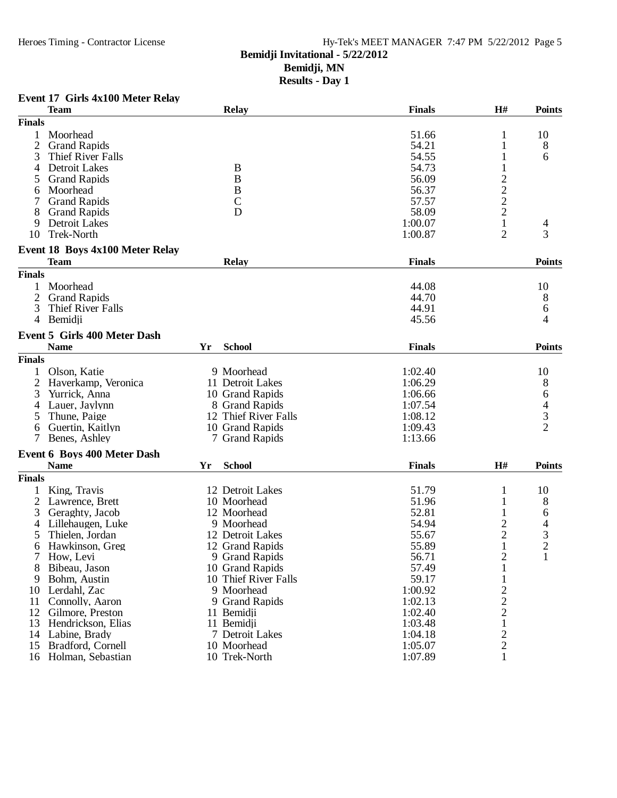## **Bemidji Invitational - 5/22/2012**

**Bemidji, MN**

**Results - Day 1**

## **Event 17 Girls 4x100 Meter Relay**

|                | <b>Team</b>                         |    | <b>Relay</b>         | <b>Finals</b> | H#                             | <b>Points</b> |
|----------------|-------------------------------------|----|----------------------|---------------|--------------------------------|---------------|
| <b>Finals</b>  |                                     |    |                      |               |                                |               |
| 1              | Moorhead                            |    |                      | 51.66         | 1                              | 10            |
| $\overline{2}$ | <b>Grand Rapids</b>                 |    |                      | 54.21         | 1                              | 8             |
| 3              | Thief River Falls                   |    |                      | 54.55         | 1                              | 6             |
| 4              | <b>Detroit Lakes</b>                |    | B                    | 54.73         |                                |               |
| 5              | <b>Grand Rapids</b>                 |    | B                    | 56.09         |                                |               |
| 6              | Moorhead                            |    | B                    | 56.37         | $\frac{2}{2}$<br>$\frac{2}{2}$ |               |
|                | <b>Grand Rapids</b>                 |    | $\mathcal{C}$        | 57.57         |                                |               |
| 8              | <b>Grand Rapids</b>                 |    | D                    | 58.09         |                                |               |
| 9              | Detroit Lakes                       |    |                      | 1:00.07       | $\mathbf{1}$                   | 4             |
| 10             | Trek-North                          |    |                      | 1:00.87       | 2                              | 3             |
|                |                                     |    |                      |               |                                |               |
|                | Event 18 Boys 4x100 Meter Relay     |    |                      |               |                                |               |
|                | <b>Team</b>                         |    | <b>Relay</b>         | <b>Finals</b> |                                | <b>Points</b> |
| <b>Finals</b>  |                                     |    |                      |               |                                |               |
|                | Moorhead                            |    |                      | 44.08         |                                | 10            |
| 2              | <b>Grand Rapids</b>                 |    |                      | 44.70         |                                | 8             |
| 3              | Thief River Falls                   |    |                      | 44.91         |                                | 6             |
|                | 4 Bemidii                           |    |                      | 45.56         |                                | 4             |
|                | <b>Event 5 Girls 400 Meter Dash</b> |    |                      |               |                                |               |
|                |                                     |    |                      |               |                                |               |
|                | <b>Name</b>                         | Yr | <b>School</b>        | <b>Finals</b> |                                | <b>Points</b> |
| <b>Finals</b>  |                                     |    |                      |               |                                |               |
|                | Olson, Katie                        |    | 9 Moorhead           | 1:02.40       |                                | 10            |
| $\overline{2}$ | Haverkamp, Veronica                 |    | 11 Detroit Lakes     | 1:06.29       |                                | 8             |
| 3              | Yurrick, Anna                       |    | 10 Grand Rapids      | 1:06.66       |                                | 6             |
| 4              | Lauer, Jaylynn                      |    | 8 Grand Rapids       | 1:07.54       |                                |               |
| 5              | Thune, Paige                        |    | 12 Thief River Falls | 1:08.12       |                                | $\frac{4}{2}$ |
| 6              | Guertin, Kaitlyn                    |    | 10 Grand Rapids      | 1:09.43       |                                |               |
|                | Benes, Ashley                       |    | 7 Grand Rapids       | 1:13.66       |                                |               |
|                | Event 6 Boys 400 Meter Dash         |    |                      |               |                                |               |
|                | <b>Name</b>                         | Yr | <b>School</b>        | <b>Finals</b> | H#                             | <b>Points</b> |
| <b>Finals</b>  |                                     |    |                      |               |                                |               |
|                |                                     |    |                      |               |                                |               |
|                | King, Travis                        |    | 12 Detroit Lakes     | 51.79         | 1                              | 10            |
| $\overline{2}$ | Lawrence, Brett                     |    | 10 Moorhead          | 51.96         | 1                              | 8             |
| 3              | Geraghty, Jacob                     |    | 12 Moorhead          | 52.81         |                                | 6             |
| 4              | Lillehaugen, Luke                   |    | 9 Moorhead           | 54.94         | $\overline{c}$                 | 4             |
|                | Thielen, Jordan                     |    | 12 Detroit Lakes     | 55.67         | $\overline{c}$                 | $\frac{3}{2}$ |
| 6              | Hawkinson, Greg                     |    | 12 Grand Rapids      | 55.89         | $\mathbf{1}$                   |               |
|                | 7 How, Levi                         |    | 9 Grand Rapids       | 56.71         | $\overline{\mathbf{c}}$        | $\mathbf{1}$  |
| 8              | Bibeau, Jason                       |    | 10 Grand Rapids      | 57.49         | 1                              |               |
| 9              | Bohm, Austin                        |    | 10 Thief River Falls | 59.17         |                                |               |
| 10             | Lerdahl, Zac                        |    | 9 Moorhead           | 1:00.92       | $\overline{c}$                 |               |
| 11             | Connolly, Aaron                     |    | 9 Grand Rapids       | 1:02.13       | $\overline{c}$                 |               |
| 12             | Gilmore, Preston                    |    | 11 Bemidji           | 1:02.40       | $\overline{c}$                 |               |
| 13             | Hendrickson, Elias                  |    | 11 Bemidii           | 1:03.48       | $\mathbf{1}$                   |               |
| 14             | Labine, Brady                       |    | 7 Detroit Lakes      | 1:04.18       | $\overline{c}$                 |               |
| 15             | Bradford, Cornell                   |    | 10 Moorhead          | 1:05.07       | $\overline{c}$                 |               |
|                | 16 Holman, Sebastian                |    | 10 Trek-North        | 1:07.89       | 1                              |               |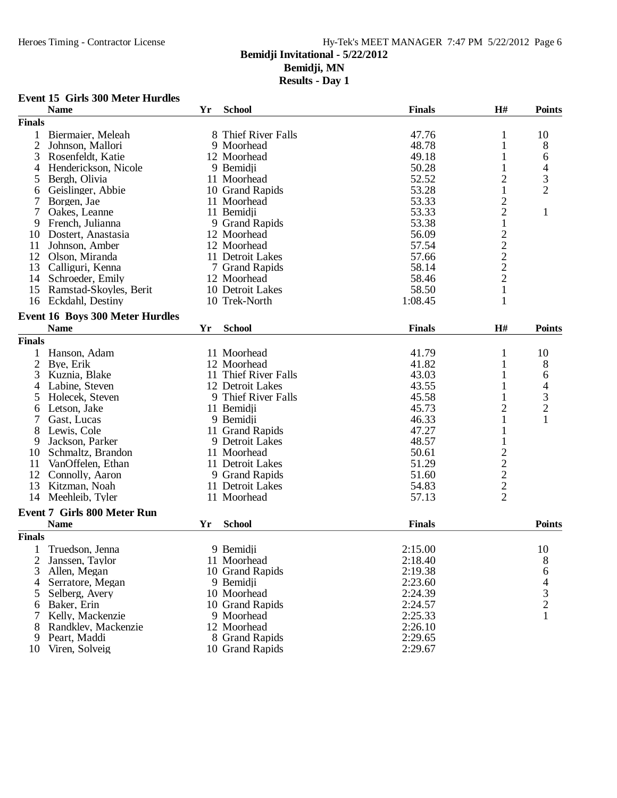**Results - Day 1**

## **Event 15 Girls 300 Meter Hurdles**

|                | <b>Name</b>                            | Yr | <b>School</b>            | <b>Finals</b> | H#                                                | <b>Points</b>                              |
|----------------|----------------------------------------|----|--------------------------|---------------|---------------------------------------------------|--------------------------------------------|
| <b>Finals</b>  |                                        |    |                          |               |                                                   |                                            |
| 1              | Biermaier, Meleah                      |    | 8 Thief River Falls      | 47.76         | 1                                                 | 10                                         |
| $\overline{2}$ | Johnson, Mallori                       |    | 9 Moorhead               | 48.78         | 1                                                 | 8                                          |
| 3              | Rosenfeldt, Katie                      |    | 12 Moorhead              | 49.18         |                                                   | 6                                          |
| 4              | Henderickson, Nicole                   |    | 9 Bemidji                | 50.28         | 1                                                 | 4                                          |
| 5              | Bergh, Olivia                          |    | 11 Moorhead              | 52.52         | $\overline{c}$                                    | 3                                          |
| 6              | Geislinger, Abbie                      |    | 10 Grand Rapids          | 53.28         | $\mathbf{1}$                                      | $\overline{2}$                             |
| 7              | Borgen, Jae                            |    | 11 Moorhead              | 53.33         | $\overline{\mathbf{c}}$                           |                                            |
| 7              | Oakes, Leanne                          |    | 11 Bemidji               | 53.33         | $\overline{c}$                                    | $\mathbf{1}$                               |
| 9              | French, Julianna                       |    | 9 Grand Rapids           | 53.38         | $\mathbf{1}$                                      |                                            |
| 10             | Dostert, Anastasia                     |    | 12 Moorhead              | 56.09         |                                                   |                                            |
| 11             | Johnson, Amber                         |    | 12 Moorhead              | 57.54         | $2222$<br>$221$                                   |                                            |
| 12             | Olson, Miranda                         |    | 11 Detroit Lakes         | 57.66         |                                                   |                                            |
| 13             | Calliguri, Kenna                       |    | 7 Grand Rapids           | 58.14         |                                                   |                                            |
| 14             | Schroeder, Emily                       |    | 12 Moorhead              | 58.46         |                                                   |                                            |
|                |                                        |    | 10 Detroit Lakes         | 58.50         |                                                   |                                            |
| 15             | Ramstad-Skoyles, Berit                 |    |                          |               |                                                   |                                            |
| 16             | Eckdahl, Destiny                       |    | 10 Trek-North            | 1:08.45       | 1                                                 |                                            |
|                | <b>Event 16 Boys 300 Meter Hurdles</b> |    |                          |               |                                                   |                                            |
|                | <b>Name</b>                            | Yr | <b>School</b>            | <b>Finals</b> | H#                                                | <b>Points</b>                              |
| <b>Finals</b>  |                                        |    |                          |               |                                                   |                                            |
| 1              | Hanson, Adam                           |    | 11 Moorhead              | 41.79         | 1                                                 | 10                                         |
| $\overline{2}$ | Bye, Erik                              |    | 12 Moorhead              | 41.82         | 1                                                 | 8                                          |
| 3              | Kuznia, Blake                          |    | 11 Thief River Falls     | 43.03         | 1                                                 | 6                                          |
| 4              | Labine, Steven                         |    | 12 Detroit Lakes         | 43.55         |                                                   | 4                                          |
| 5              | Holecek, Steven                        |    | 9 Thief River Falls      | 45.58         | 1                                                 |                                            |
| 6              | Letson, Jake                           |    | 11 Bemidji               | 45.73         | $\overline{c}$                                    | $\frac{3}{2}$                              |
| 7              | Gast, Lucas                            |    | 9 Bemidji                | 46.33         | $\mathbf{1}$                                      | $\mathbf{1}$                               |
| 8              | Lewis, Cole                            |    | 11 Grand Rapids          | 47.27         | $\mathbf 1$                                       |                                            |
| 9              | Jackson, Parker                        |    | 9 Detroit Lakes          | 48.57         | 1                                                 |                                            |
|                |                                        |    |                          |               |                                                   |                                            |
| 10             | Schmaltz, Brandon                      |    | 11 Moorhead              | 50.61         |                                                   |                                            |
| 11             | VanOffelen, Ethan                      |    | 11 Detroit Lakes         | 51.29         |                                                   |                                            |
| 12             | Connolly, Aaron                        |    | 9 Grand Rapids           | 51.60         |                                                   |                                            |
| 13             | Kitzman, Noah                          |    | 11 Detroit Lakes         | 54.83         | $\begin{array}{c}\n2 \\ 2 \\ 2 \\ 2\n\end{array}$ |                                            |
| 14             | Meehleib, Tyler                        |    | 11 Moorhead              | 57.13         |                                                   |                                            |
|                | <b>Event 7 Girls 800 Meter Run</b>     |    |                          |               |                                                   |                                            |
|                | <b>Name</b>                            | Yr | <b>School</b>            | <b>Finals</b> |                                                   | <b>Points</b>                              |
| <b>Finals</b>  |                                        |    |                          |               |                                                   |                                            |
|                | Truedson, Jenna                        |    | 9 Bemidji                | 2:15.00       |                                                   | 10                                         |
| 2              |                                        |    | 11 Moorhead              | 2:18.40       |                                                   | 8                                          |
| 3              | Janssen, Taylor<br>Allen, Megan        |    | 10 Grand Rapids          | 2:19.38       |                                                   |                                            |
| 4              |                                        |    |                          | 2:23.60       |                                                   | 6                                          |
|                | Serratore, Megan                       |    | 9 Bemidji<br>10 Moorhead |               |                                                   | $\begin{array}{c} 4 \\ 3 \\ 2 \end{array}$ |
| 5              | Selberg, Avery                         |    |                          | 2:24.39       |                                                   |                                            |
| 6              | Baker, Erin                            |    | 10 Grand Rapids          | 2:24.57       |                                                   |                                            |
|                | Kelly, Mackenzie                       |    | 9 Moorhead               | 2:25.33       |                                                   |                                            |
| 8              | Randklev, Mackenzie                    |    | 12 Moorhead              | 2:26.10       |                                                   |                                            |
| 9              | Peart, Maddi                           |    | 8 Grand Rapids           | 2:29.65       |                                                   |                                            |
| 10             | Viren, Solveig                         |    | 10 Grand Rapids          | 2:29.67       |                                                   |                                            |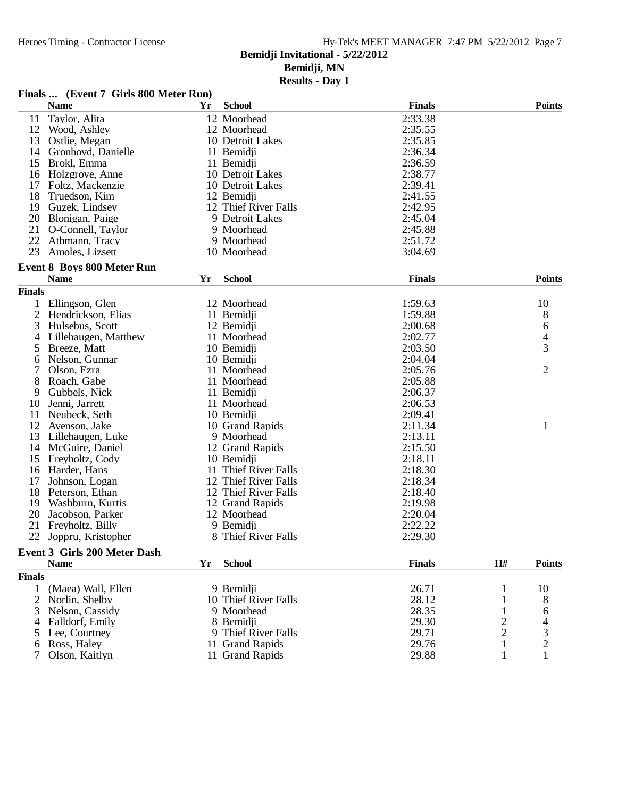## Hy-Tek's MEET MANAGER 7:47 PM 5/22/2012 Page 7

## **Bemidji Invitational - 5/22/2012**

**Bemidji, MN**

|                | Finals  (Event 7 Girls 800 Meter Run) |    |                      |               |                         |                |
|----------------|---------------------------------------|----|----------------------|---------------|-------------------------|----------------|
|                | <b>Name</b>                           | Yr | <b>School</b>        | <b>Finals</b> |                         | <b>Points</b>  |
| 11             | Taylor, Alita                         |    | 12 Moorhead          | 2:33.38       |                         |                |
| 12             | Wood, Ashley                          |    | 12 Moorhead          | 2:35.55       |                         |                |
| 13             | Ostlie, Megan                         |    | 10 Detroit Lakes     | 2:35.85       |                         |                |
| 14             | Gronhovd, Danielle                    |    | 11 Bemidji           | 2:36.34       |                         |                |
| 15             | Brokl, Emma                           |    | 11 Bemidji           | 2:36.59       |                         |                |
| 16             | Holzgrove, Anne                       |    | 10 Detroit Lakes     | 2:38.77       |                         |                |
| 17             | Foltz, Mackenzie                      |    | 10 Detroit Lakes     | 2:39.41       |                         |                |
| 18             | Truedson, Kim                         |    | 12 Bemidji           | 2:41.55       |                         |                |
| 19             | Guzek, Lindsey                        |    | 12 Thief River Falls | 2:42.95       |                         |                |
| 20             | Blonigan, Paige                       |    | 9 Detroit Lakes      | 2:45.04       |                         |                |
| 21             | O-Connell, Taylor                     |    | 9 Moorhead           | 2:45.88       |                         |                |
| 22             | Athmann, Tracy                        |    | 9 Moorhead           | 2:51.72       |                         |                |
| 23             | Amoles, Lizsett                       |    | 10 Moorhead          | 3:04.69       |                         |                |
|                |                                       |    |                      |               |                         |                |
|                | <b>Event 8 Boys 800 Meter Run</b>     |    |                      |               |                         |                |
|                | <b>Name</b>                           | Yr | <b>School</b>        | <b>Finals</b> |                         | <b>Points</b>  |
| <b>Finals</b>  |                                       |    |                      |               |                         |                |
|                | Ellingson, Glen                       |    | 12 Moorhead          | 1:59.63       |                         | 10             |
| $\overline{2}$ | Hendrickson, Elias                    |    | 11 Bemidji           | 1:59.88       |                         | 8              |
| 3              | Hulsebus, Scott                       |    | 12 Bemidji           | 2:00.68       |                         | 6              |
| 4              | Lillehaugen, Matthew                  |    | 11 Moorhead          | 2:02.77       |                         | 4              |
| 5              | Breeze, Matt                          |    | 10 Bemidji           | 2:03.50       |                         | 3              |
| 6              | Nelson, Gunnar                        |    | 10 Bemidii           | 2:04.04       |                         |                |
| 7              | Olson, Ezra                           |    | 11 Moorhead          | 2:05.76       |                         | $\overline{2}$ |
| 8              | Roach, Gabe                           |    | 11 Moorhead          | 2:05.88       |                         |                |
| 9              | Gubbels, Nick                         |    | 11 Bemidji           | 2:06.37       |                         |                |
| 10             | Jenni, Jarrett                        |    | 11 Moorhead          | 2:06.53       |                         |                |
| 11             | Neubeck, Seth                         |    | 10 Bemidji           | 2:09.41       |                         |                |
| 12             | Avenson, Jake                         |    | 10 Grand Rapids      | 2:11.34       |                         | 1              |
| 13             | Lillehaugen, Luke                     |    | 9 Moorhead           | 2:13.11       |                         |                |
| 14             | McGuire, Daniel                       |    | 12 Grand Rapids      | 2:15.50       |                         |                |
| 15             | Freyholtz, Cody                       |    | 10 Bemidji           | 2:18.11       |                         |                |
| 16             | Harder, Hans                          |    | 11 Thief River Falls | 2:18.30       |                         |                |
| 17             | Johnson, Logan                        |    | 12 Thief River Falls | 2:18.34       |                         |                |
| 18             | Peterson, Ethan                       |    | 12 Thief River Falls | 2:18.40       |                         |                |
| 19             | Washburn, Kurtis                      |    | 12 Grand Rapids      | 2:19.98       |                         |                |
| 20             | Jacobson, Parker                      |    | 12 Moorhead          | 2:20.04       |                         |                |
| 21             | Freyholtz, Billy                      |    | 9 Bemidji            | 2:22.22       |                         |                |
|                | 22 Joppru, Kristopher                 |    | 8 Thief River Falls  | 2:29.30       |                         |                |
|                | <b>Event 3 Girls 200 Meter Dash</b>   |    |                      |               |                         |                |
|                | <b>Name</b>                           | Yr | <b>School</b>        | <b>Finals</b> | H#                      | <b>Points</b>  |
| <b>Finals</b>  |                                       |    |                      |               |                         |                |
| 1              | (Maea) Wall, Ellen                    |    |                      | 26.71         |                         |                |
|                |                                       |    | 9 Bemidii            |               | 1                       | 10             |
| 2              | Norlin, Shelby                        |    | 10 Thief River Falls | 28.12         | 1                       | 8              |
| 3              | Nelson, Cassidy                       |    | 9 Moorhead           | 28.35         |                         | 6              |
| 4              | Falldorf, Emily                       |    | 8 Bemidji            | 29.30         | $\overline{\mathbf{c}}$ |                |
| 5              | Lee, Courtney                         |    | 9 Thief River Falls  | 29.71         | $\overline{c}$          | 3              |
| 6              | Ross, Haley                           |    | 11 Grand Rapids      | 29.76         | 1                       | 2              |
|                | Olson, Kaitlyn                        |    | 11 Grand Rapids      | 29.88         | 1                       | 1              |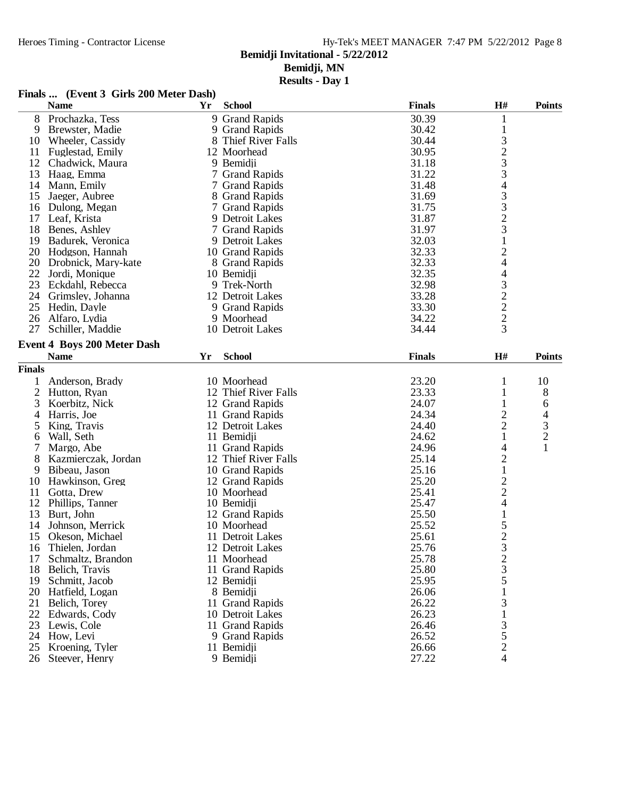**Results - Day 1**

## **Finals ... (Event 3 Girls 200 Meter Dash)**

|                | <b>Name</b>                        | Yr | <b>School</b>        | <b>Finals</b> | $\mathbf{H}$ #                                       | <b>Points</b>  |
|----------------|------------------------------------|----|----------------------|---------------|------------------------------------------------------|----------------|
| 8              | Prochazka, Tess                    |    | 9 Grand Rapids       | 30.39         | 1                                                    |                |
| 9              | Brewster, Madie                    |    | 9 Grand Rapids       | 30.42         | $\mathbf{1}$                                         |                |
| 10             | Wheeler, Cassidy                   |    | 8 Thief River Falls  | 30.44         | 3                                                    |                |
| 11             | Fuglestad, Emily                   |    | 12 Moorhead          | 30.95         |                                                      |                |
| 12             | Chadwick, Maura                    |    | 9 Bemidji            | 31.18         | $\frac{2}{3}$                                        |                |
| 13             | Haag, Emma                         |    | 7 Grand Rapids       | 31.22         |                                                      |                |
| 14             | Mann, Emily                        |    | 7 Grand Rapids       | 31.48         | 4                                                    |                |
| 15             | Jaeger, Aubree                     |    | 8 Grand Rapids       | 31.69         |                                                      |                |
| 16             | Dulong, Megan                      |    | 7 Grand Rapids       | 31.75         | $\begin{array}{c} 3 \\ 3 \\ 2 \\ 3 \\ 1 \end{array}$ |                |
| 17             | Leaf, Krista                       |    | 9 Detroit Lakes      | 31.87         |                                                      |                |
| 18             | Benes, Ashley                      |    | 7 Grand Rapids       | 31.97         |                                                      |                |
| 19             | Badurek, Veronica                  |    | 9 Detroit Lakes      | 32.03         |                                                      |                |
| 20             | Hodgson, Hannah                    |    | 10 Grand Rapids      | 32.33         | $\overline{c}$                                       |                |
| 20             | Drobnick, Mary-kate                |    | 8 Grand Rapids       | 32.33         | $\overline{4}$                                       |                |
| 22             | Jordi, Monique                     |    | 10 Bemidji           | 32.35         | $\overline{\mathcal{L}}$                             |                |
| 23             | Eckdahl, Rebecca                   |    | 9 Trek-North         | 32.98         |                                                      |                |
| 24             | Grimsley, Johanna                  |    | 12 Detroit Lakes     | 33.28         |                                                      |                |
| 25             | Hedin, Dayle                       |    | 9 Grand Rapids       | 33.30         |                                                      |                |
| 26             | Alfaro, Lydia                      |    | 9 Moorhead           | 34.22         | $\begin{array}{c} 3 \\ 2 \\ 2 \end{array}$           |                |
| 27             | Schiller, Maddie                   |    | 10 Detroit Lakes     | 34.44         | $\overline{3}$                                       |                |
|                | <b>Event 4 Boys 200 Meter Dash</b> |    |                      |               |                                                      |                |
|                | <b>Name</b>                        | Yr | <b>School</b>        | <b>Finals</b> | H#                                                   | <b>Points</b>  |
|                |                                    |    |                      |               |                                                      |                |
| <b>Finals</b>  |                                    |    |                      |               |                                                      |                |
| 1              | Anderson, Brady                    |    | 10 Moorhead          | 23.20         | 1                                                    | 10             |
| $\overline{2}$ | Hutton, Ryan                       |    | 12 Thief River Falls | 23.33         | 1                                                    | 8              |
| 3              | Koerbitz, Nick                     |    | 12 Grand Rapids      | 24.07         | 1                                                    | 6              |
| 4              | Harris, Joe                        |    | 11 Grand Rapids      | 24.34         | $\overline{c}$                                       | 4              |
| 5              | King, Travis                       |    | 12 Detroit Lakes     | 24.40         | $\overline{c}$                                       | 3              |
| 6              | Wall, Seth                         |    | 11 Bemidji           | 24.62         | $\mathbf{1}$                                         | $\overline{c}$ |
| 7              | Margo, Abe                         |    | 11 Grand Rapids      | 24.96         | 4                                                    | $\mathbf{1}$   |
| 8              | Kazmierczak, Jordan                |    | 12 Thief River Falls | 25.14         | $\overline{c}$                                       |                |
| 9              | Bibeau, Jason                      |    | 10 Grand Rapids      | 25.16         | $\mathbf{1}$                                         |                |
| 10             | Hawkinson, Greg                    |    | 12 Grand Rapids      | 25.20         | $\begin{array}{c} 2 \\ 2 \\ 4 \end{array}$           |                |
| 11             | Gotta, Drew                        |    | 10 Moorhead          | 25.41         |                                                      |                |
| 12             | Phillips, Tanner                   |    | 10 Bemidji           | 25.47         |                                                      |                |
| 13             | Burt, John                         |    | 12 Grand Rapids      | 25.50         | $\mathbf{1}$                                         |                |
| 14             | Johnson, Merrick                   |    | 10 Moorhead          | 25.52         | $\frac{5}{2}$                                        |                |
| 15             | Okeson, Michael                    |    | 11 Detroit Lakes     | 25.61         |                                                      |                |
| 16             | Thielen, Jordan                    |    | 12 Detroit Lakes     | 25.76         |                                                      |                |
| 17             | Schmaltz, Brandon                  |    | 11 Moorhead          | 25.78         | $\frac{2}{3}$                                        |                |
| 18             | Belich, Travis                     |    | 11 Grand Rapids      | 25.80         |                                                      |                |
| 19             | Schmitt, Jacob                     |    | 12 Bemidji           | 25.95         | $\frac{5}{1}$                                        |                |
| 20             | Hatfield, Logan                    |    | 8 Bemidii            | 26.06         |                                                      |                |
| 21             | Belich, Torey                      |    | 11 Grand Rapids      | 26.22         | 3                                                    |                |
| 22             | Edwards, Cody                      |    | 10 Detroit Lakes     | 26.23         | $\mathbf{1}$                                         |                |
| 23             | Lewis, Cole                        |    | 11 Grand Rapids      | 26.46         | $\frac{3}{5}$<br>$\frac{2}{4}$                       |                |
| 24             | How, Levi                          |    | 9 Grand Rapids       | 26.52         |                                                      |                |
| 25             | Kroening, Tyler                    |    | 11 Bemidji           | 26.66         |                                                      |                |
| 26             | Steever, Henry                     |    | 9 Bemidji            | 27.22         |                                                      |                |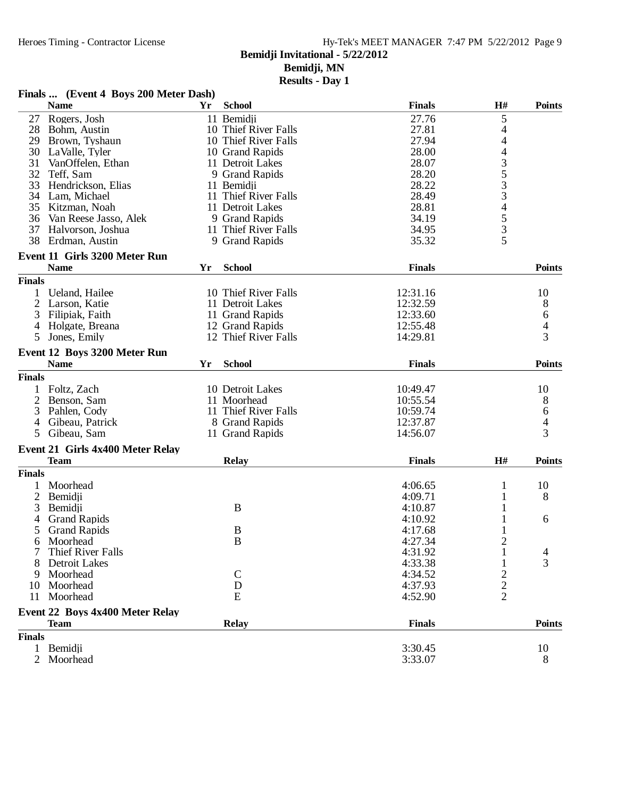| Finals  (Event 4 Boys 200 Meter Dash) |  |  |  |  |  |
|---------------------------------------|--|--|--|--|--|
|---------------------------------------|--|--|--|--|--|

|                | <b>Name</b>                          | Yr | <b>School</b>        | <b>Finals</b> | H#                                              | <b>Points</b>            |
|----------------|--------------------------------------|----|----------------------|---------------|-------------------------------------------------|--------------------------|
| 27             | Rogers, Josh                         |    | 11 Bemidii           | 27.76         | 5                                               |                          |
| 28             | Bohm, Austin                         |    | 10 Thief River Falls | 27.81         | 4                                               |                          |
| 29             | Brown, Tyshaun                       |    | 10 Thief River Falls | 27.94         | 4                                               |                          |
| 30             | LaValle, Tyler                       |    | 10 Grand Rapids      | 28.00         | 4                                               |                          |
| 31             | VanOffelen, Ethan                    |    | 11 Detroit Lakes     | 28.07         |                                                 |                          |
| 32             | Teff, Sam                            |    | 9 Grand Rapids       | 28.20         | $\begin{array}{c} 3 \\ 5 \\ 3 \\ 3 \end{array}$ |                          |
| 33             | Hendrickson, Elias                   |    | 11 Bemidji           | 28.22         |                                                 |                          |
| 34             | Lam, Michael                         |    | 11 Thief River Falls | 28.49         |                                                 |                          |
| 35             | Kitzman, Noah                        |    | 11 Detroit Lakes     | 28.81         | $\overline{\mathcal{L}}$                        |                          |
| 36             | Van Reese Jasso, Alek                |    | 9 Grand Rapids       | 34.19         |                                                 |                          |
| 37             | Halvorson, Joshua                    |    | 11 Thief River Falls | 34.95         |                                                 |                          |
|                | 38 Erdman, Austin                    |    | 9 Grand Rapids       | 35.32         | $\frac{5}{3}$                                   |                          |
|                | <b>Event 11 Girls 3200 Meter Run</b> |    |                      |               |                                                 |                          |
|                | <b>Name</b>                          | Yr | <b>School</b>        | <b>Finals</b> |                                                 | <b>Points</b>            |
| <b>Finals</b>  |                                      |    |                      |               |                                                 |                          |
|                | Ueland, Hailee                       |    | 10 Thief River Falls | 12:31.16      |                                                 | 10                       |
| $\overline{2}$ | Larson, Katie                        |    | 11 Detroit Lakes     | 12:32.59      |                                                 | 8                        |
| 3              | Filipiak, Faith                      |    | 11 Grand Rapids      | 12:33.60      |                                                 | 6                        |
| 4              | Holgate, Breana                      |    | 12 Grand Rapids      | 12:55.48      |                                                 | $\overline{\mathcal{A}}$ |
| 5              | Jones, Emily                         |    | 12 Thief River Falls | 14:29.81      |                                                 | 3                        |
|                |                                      |    |                      |               |                                                 |                          |
|                | Event 12 Boys 3200 Meter Run         |    |                      |               |                                                 |                          |
|                | <b>Name</b>                          | Yr | <b>School</b>        | <b>Finals</b> |                                                 | <b>Points</b>            |
| <b>Finals</b>  |                                      |    |                      |               |                                                 |                          |
|                | Foltz, Zach                          |    | 10 Detroit Lakes     | 10:49.47      |                                                 | 10                       |
| 2              | Benson, Sam                          |    | 11 Moorhead          | 10:55.54      |                                                 | 8                        |
| 3              | Pahlen, Cody                         |    | 11 Thief River Falls | 10:59.74      |                                                 | 6                        |
| 4              | Gibeau, Patrick                      |    | 8 Grand Rapids       | 12:37.87      |                                                 | $\overline{\mathcal{L}}$ |
| 5              | Gibeau, Sam                          |    | 11 Grand Rapids      | 14:56.07      |                                                 | 3                        |
|                | Event 21 Girls 4x400 Meter Relay     |    |                      |               |                                                 |                          |
|                | <b>Team</b>                          |    | <b>Relay</b>         | <b>Finals</b> | H#                                              | <b>Points</b>            |
| <b>Finals</b>  |                                      |    |                      |               |                                                 |                          |
|                | Moorhead                             |    |                      | 4:06.65       | 1                                               | 10                       |
| $\overline{2}$ | Bemidji                              |    |                      | 4:09.71       | 1                                               | 8                        |
| 3              |                                      |    | B                    | 4:10.87       |                                                 |                          |
|                | Bemidji                              |    |                      | 4:10.92       | 1                                               |                          |
| 4              | <b>Grand Rapids</b>                  |    |                      |               |                                                 | 6                        |
| 5              | <b>Grand Rapids</b>                  |    | B                    | 4:17.68       |                                                 |                          |
| 6              | Moorhead                             |    | $\bf{B}$             | 4:27.34       | 2                                               |                          |
|                | <b>Thief River Falls</b>             |    |                      | 4:31.92       | $\mathbf{1}$                                    | $\overline{4}$           |
|                | Detroit Lakes                        |    |                      | 4:33.38       | 1                                               | 3                        |
| 9              | Moorhead                             |    | $\mathbf C$          | 4:34.52       |                                                 |                          |
| 10             | Moorhead                             |    | D                    | 4:37.93       | $\frac{2}{2}$                                   |                          |
| 11             | Moorhead                             |    | E                    | 4:52.90       |                                                 |                          |
|                | Event 22 Boys 4x400 Meter Relay      |    |                      |               |                                                 |                          |
|                | <b>Team</b>                          |    | <b>Relay</b>         | <b>Finals</b> |                                                 | <b>Points</b>            |
| <b>Finals</b>  |                                      |    |                      |               |                                                 |                          |
|                | Bemidji                              |    |                      | 3:30.45       |                                                 | 10                       |
| $\overline{2}$ | Moorhead                             |    |                      | 3:33.07       |                                                 | 8                        |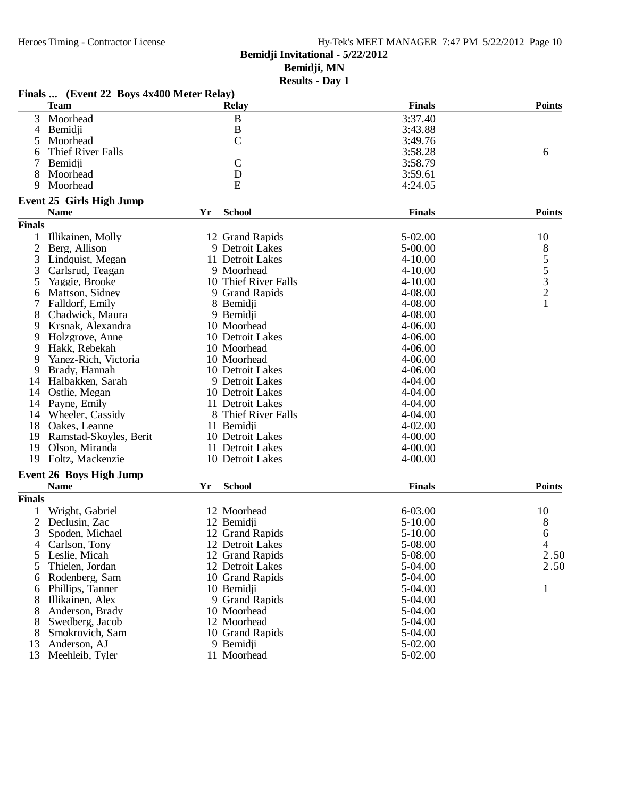## Hy-Tek's MEET MANAGER 7:47 PM 5/22/2012 Page 10

**Bemidji Invitational - 5/22/2012**

**Bemidji, MN**

|                | Finals  (Event 22 Boys 4x400 Meter Relay) |    |                      |               |               |
|----------------|-------------------------------------------|----|----------------------|---------------|---------------|
|                | <b>Team</b>                               |    | <b>Relay</b>         | <b>Finals</b> | <b>Points</b> |
| 3              | Moorhead                                  |    | $\, {\bf B}$         | 3:37.40       |               |
| 4              | Bemidji                                   |    | $\, {\bf B}$         | 3:43.88       |               |
| 5              | Moorhead                                  |    | $\overline{C}$       | 3:49.76       |               |
| 6              | Thief River Falls                         |    |                      | 3:58.28       | 6             |
| 7              | Bemidji                                   |    | $\mathcal{C}$        | 3:58.79       |               |
| 8              | Moorhead                                  |    | D                    | 3:59.61       |               |
| 9              | Moorhead                                  |    | E                    | 4:24.05       |               |
|                | Event 25 Girls High Jump                  |    |                      |               |               |
|                | <b>Name</b>                               | Yr | <b>School</b>        | <b>Finals</b> | <b>Points</b> |
| <b>Finals</b>  |                                           |    |                      |               |               |
| 1              | Illikainen, Molly                         |    | 12 Grand Rapids      | 5-02.00       | 10            |
|                |                                           |    |                      |               |               |
| $\overline{2}$ | Berg, Allison                             |    | 9 Detroit Lakes      | 5-00.00       | 8532          |
| 3              | Lindquist, Megan                          |    | 11 Detroit Lakes     | $4 - 10.00$   |               |
| 3              | Carlsrud, Teagan                          |    | 9 Moorhead           | $4 - 10.00$   |               |
| 5              | Yaggie, Brooke                            |    | 10 Thief River Falls | $4 - 10.00$   |               |
| 6              | Mattson, Sidney                           |    | 9 Grand Rapids       | 4-08.00       |               |
| 7              | Falldorf, Emily                           |    | 8 Bemidji            | 4-08.00       | $\mathbf{1}$  |
| 8              | Chadwick, Maura                           |    | 9 Bemidji            | 4-08.00       |               |
| 9              | Krsnak, Alexandra                         |    | 10 Moorhead          | 4-06.00       |               |
| 9              | Holzgrove, Anne                           |    | 10 Detroit Lakes     | 4-06.00       |               |
| 9              | Hakk, Rebekah                             |    | 10 Moorhead          | $4 - 06.00$   |               |
| 9              | Yanez-Rich, Victoria                      |    | 10 Moorhead          | 4-06.00       |               |
| 9              | Brady, Hannah                             |    | 10 Detroit Lakes     | 4-06.00       |               |
| 14             | Halbakken, Sarah                          |    | 9 Detroit Lakes      | 4-04.00       |               |
| 14             | Ostlie, Megan                             |    | 10 Detroit Lakes     | 4-04.00       |               |
| 14             | Payne, Emily                              |    | 11 Detroit Lakes     | 4-04.00       |               |
| 14             | Wheeler, Cassidy                          |    | 8 Thief River Falls  | 4-04.00       |               |
| 18             | Oakes, Leanne                             |    | 11 Bemidji           | 4-02.00       |               |
| 19             | Ramstad-Skoyles, Berit                    |    | 10 Detroit Lakes     | $4 - 00.00$   |               |
| 19             | Olson, Miranda                            |    | 11 Detroit Lakes     | $4 - 00.00$   |               |
| 19             | Foltz, Mackenzie                          |    | 10 Detroit Lakes     | 4-00.00       |               |
|                | <b>Event 26 Boys High Jump</b>            |    |                      |               |               |
|                | <b>Name</b>                               | Yr | <b>School</b>        | <b>Finals</b> | <b>Points</b> |
| <b>Finals</b>  |                                           |    |                      |               |               |
|                | Wright, Gabriel                           |    | 12 Moorhead          | 6-03.00       | 10            |
| $\overline{2}$ | Declusin, Zac                             |    | 12 Bemidji           | 5-10.00       | 8             |
| 3              | Spoden, Michael                           |    | 12 Grand Rapids      | $5 - 10.00$   | 6             |
| 4              | Carlson, Tony                             |    | 12 Detroit Lakes     | 5-08.00       | 4             |
| 5              | Leslie, Micah                             |    | 12 Grand Rapids      | 5-08.00       | 2.50          |
| 5              | Thielen, Jordan                           |    | 12 Detroit Lakes     | 5-04.00       | 2.50          |
| 6              | Rodenberg, Sam                            |    | 10 Grand Rapids      | 5-04.00       |               |
| 6              | Phillips, Tanner                          |    | 10 Bemidji           | 5-04.00       | 1             |
|                | Illikainen, Alex                          |    | 9 Grand Rapids       | 5-04.00       |               |
| 8              |                                           |    | 10 Moorhead          |               |               |
| 8              | Anderson, Brady                           |    |                      | 5-04.00       |               |
| 8              | Swedberg, Jacob                           |    | 12 Moorhead          | 5-04.00       |               |
| 8              | Smokrovich, Sam                           |    | 10 Grand Rapids      | 5-04.00       |               |
| 13             | Anderson, AJ                              |    | 9 Bemidji            | 5-02.00       |               |
| 13             | Meehleib, Tyler                           |    | 11 Moorhead          | 5-02.00       |               |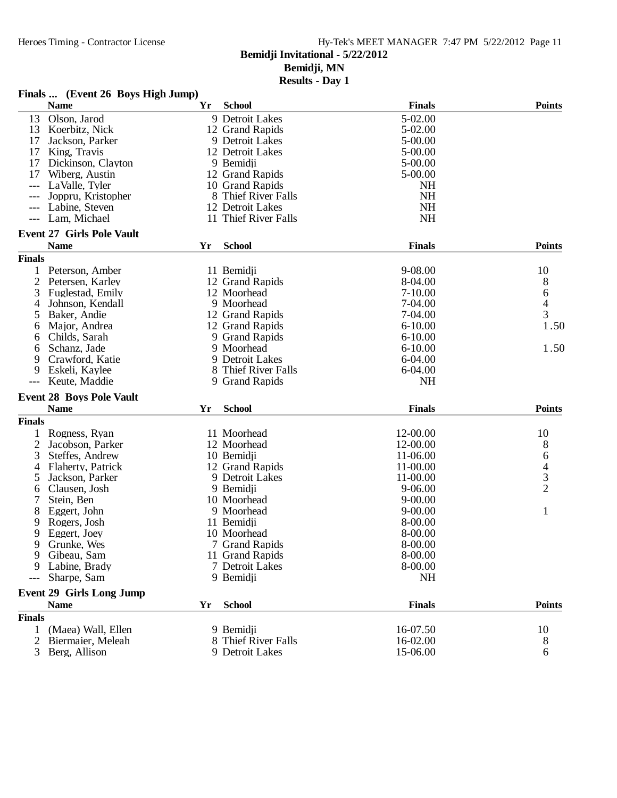## Heroes Timing - Contractor License Hy-Tek's MEET MANAGER 7:47 PM 5/22/2012 Page 11 **Bemidji Invitational - 5/22/2012**

**Bemidji, MN**

| Finals  (Event 26 Boys High Jump)  |    |                      |               |                |
|------------------------------------|----|----------------------|---------------|----------------|
| <b>Name</b>                        | Yr | <b>School</b>        | <b>Finals</b> | <b>Points</b>  |
| Olson, Jarod<br>13                 |    | 9 Detroit Lakes      | 5-02.00       |                |
| Koerbitz, Nick<br>13               |    | 12 Grand Rapids      | 5-02.00       |                |
| 17<br>Jackson, Parker              |    | 9 Detroit Lakes      | 5-00.00       |                |
| 17<br>King, Travis                 |    | 12 Detroit Lakes     | 5-00.00       |                |
| 17<br>Dickinson, Clayton           |    | 9 Bemidji            | 5-00.00       |                |
| 17<br>Wiberg, Austin               |    | 12 Grand Rapids      | 5-00.00       |                |
| LaValle, Tyler                     |    | 10 Grand Rapids      | <b>NH</b>     |                |
| Joppru, Kristopher                 |    | 8 Thief River Falls  | <b>NH</b>     |                |
| Labine, Steven                     |    | 12 Detroit Lakes     | NH            |                |
| Lam, Michael<br>$---$              |    | 11 Thief River Falls | <b>NH</b>     |                |
| <b>Event 27 Girls Pole Vault</b>   |    |                      |               |                |
| <b>Name</b>                        | Yr | <b>School</b>        | <b>Finals</b> | <b>Points</b>  |
| <b>Finals</b>                      |    |                      |               |                |
| $\mathbf 1$<br>Peterson, Amber     |    | 11 Bemidji           | 9-08.00       | 10             |
| $\overline{c}$<br>Petersen, Karley |    | 12 Grand Rapids      | 8-04.00       | 8              |
| 3<br>Fuglestad, Emily              |    | 12 Moorhead          | $7 - 10.00$   | 6              |
| 4<br>Johnson, Kendall              |    | 9 Moorhead           | 7-04.00       | $\overline{4}$ |
| 5<br>Baker, Andie                  |    | 12 Grand Rapids      | 7-04.00       | 3              |
| Major, Andrea<br>6                 |    | 12 Grand Rapids      | $6 - 10.00$   | 1.50           |
| Childs, Sarah<br>6                 |    | 9 Grand Rapids       | $6 - 10.00$   |                |
| Schanz, Jade<br>6                  |    | 9 Moorhead           | $6 - 10.00$   | 1.50           |
| 9<br>Crawford, Katie               |    | 9 Detroit Lakes      | 6-04.00       |                |
| 9<br>Eskeli, Kaylee                |    | 8 Thief River Falls  | $6 - 04.00$   |                |
| Keute, Maddie<br>---               |    | 9 Grand Rapids       | <b>NH</b>     |                |
| <b>Event 28 Boys Pole Vault</b>    |    |                      |               |                |
| <b>Name</b>                        | Yr | <b>School</b>        | <b>Finals</b> | <b>Points</b>  |
| <b>Finals</b>                      |    |                      |               |                |
| 1<br>Rogness, Ryan                 |    | 11 Moorhead          | 12-00.00      | 10             |
| $\overline{2}$<br>Jacobson, Parker |    | 12 Moorhead          | 12-00.00      | 8              |
| 3<br>Steffes, Andrew               |    | 10 Bemidji           | 11-06.00      |                |
| Flaherty, Patrick<br>4             |    | 12 Grand Rapids      | 11-00.00      |                |
| 5<br>Jackson, Parker               |    | 9 Detroit Lakes      | 11-00.00      | $64$<br>3<br>2 |
| Clausen, Josh<br>6                 |    | 9 Bemidji            | $9 - 06.00$   |                |
| 7<br>Stein, Ben                    |    | 10 Moorhead          | $9 - 00.00$   |                |
| 8<br>Eggert, John                  |    | 9 Moorhead           | $9 - 00.00$   | $\mathbf{1}$   |
| 9<br>Rogers, Josh                  |    | 11 Bemidji           | 8-00.00       |                |
| 9<br>Eggert, Joey                  |    | 10 Moorhead          | 8-00.00       |                |
| Grunke, Wes<br>9                   |    | 7 Grand Rapids       | 8-00.00       |                |
| 9<br>Gibeau, Sam                   |    | 11 Grand Rapids      | 8-00.00       |                |
| Labine, Brady<br>9                 |    | 7 Detroit Lakes      | 8-00.00       |                |
| Sharpe, Sam<br>---                 |    | 9 Bemidji            | NH            |                |
| <b>Event 29 Girls Long Jump</b>    |    |                      |               |                |
| <b>Name</b>                        | Yr | <b>School</b>        | <b>Finals</b> | <b>Points</b>  |
| <b>Finals</b>                      |    |                      |               |                |
| $\mathbf{1}$<br>(Maea) Wall, Ellen |    | 9 Bemidji            | 16-07.50      | 10             |
| 2<br>Biermaier, Meleah             |    | 8 Thief River Falls  | 16-02.00      | 8              |
| 3<br>Berg, Allison                 |    | 9 Detroit Lakes      | 15-06.00      | 6              |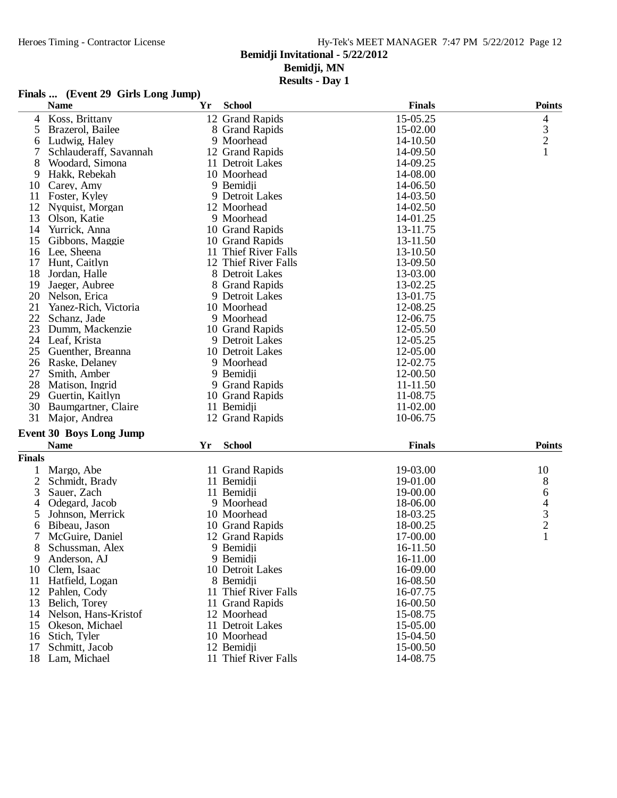## Heroes Timing - Contractor License Hy-Tek's MEET MANAGER 7:47 PM 5/22/2012 Page 12

## **Bemidji Invitational - 5/22/2012**

**Bemidji, MN**

| <b>Finals</b> | (Event 29 Girls Long Jump) |
|---------------|----------------------------|
|---------------|----------------------------|

|                | <b>Name</b>                    | Yr | <b>School</b>        | <b>Finals</b> | <b>Points</b>  |
|----------------|--------------------------------|----|----------------------|---------------|----------------|
| 4              | Koss, Brittany                 |    | 12 Grand Rapids      | 15-05.25      | 4              |
| 5              | Brazerol, Bailee               |    | 8 Grand Rapids       | 15-02.00      | $\mathfrak{Z}$ |
| 6              | Ludwig, Haley                  |    | 9 Moorhead           | 14-10.50      | $\overline{c}$ |
| 7              | Schlauderaff, Savannah         |    | 12 Grand Rapids      | 14-09.50      | 1              |
| 8              | Woodard, Simona                |    | 11 Detroit Lakes     | 14-09.25      |                |
| 9              | Hakk, Rebekah                  |    | 10 Moorhead          | 14-08.00      |                |
| 10             | Carey, Amy                     |    | 9 Bemidji            | 14-06.50      |                |
| 11             | Foster, Kyley                  |    | 9 Detroit Lakes      | 14-03.50      |                |
| 12             | Nyquist, Morgan                |    | 12 Moorhead          | 14-02.50      |                |
| 13             | Olson, Katie                   |    | 9 Moorhead           | 14-01.25      |                |
| 14             | Yurrick, Anna                  |    | 10 Grand Rapids      | 13-11.75      |                |
| 15             | Gibbons, Maggie                |    | 10 Grand Rapids      | 13-11.50      |                |
| 16             | Lee, Sheena                    |    | 11 Thief River Falls | 13-10.50      |                |
| 17             | Hunt, Caitlyn                  |    | 12 Thief River Falls | 13-09.50      |                |
| 18             | Jordan, Halle                  |    | 8 Detroit Lakes      | 13-03.00      |                |
| 19             | Jaeger, Aubree                 |    | 8 Grand Rapids       | 13-02.25      |                |
| 20             | Nelson, Erica                  |    | 9 Detroit Lakes      | 13-01.75      |                |
| 21             | Yanez-Rich, Victoria           |    | 10 Moorhead          | 12-08.25      |                |
| 22             | Schanz, Jade                   |    | 9 Moorhead           | 12-06.75      |                |
| 23             | Dumm, Mackenzie                |    | 10 Grand Rapids      | 12-05.50      |                |
| 24             | Leaf, Krista                   |    | 9 Detroit Lakes      | 12-05.25      |                |
| 25             | Guenther, Breanna              |    | 10 Detroit Lakes     | 12-05.00      |                |
| 26             | Raske, Delaney                 |    | 9 Moorhead           | 12-02.75      |                |
| 27             | Smith, Amber                   |    | 9 Bemidji            | 12-00.50      |                |
| 28             | Matison, Ingrid                |    | 9 Grand Rapids       | 11-11.50      |                |
| 29             |                                |    |                      | 11-08.75      |                |
| 30             | Guertin, Kaitlyn               |    | 10 Grand Rapids      | 11-02.00      |                |
|                | Baumgartner, Claire            |    | 11 Bemidji           |               |                |
| 31             | Major, Andrea                  |    | 12 Grand Rapids      | 10-06.75      |                |
|                | <b>Event 30 Boys Long Jump</b> |    |                      |               |                |
|                | <b>Name</b>                    | Yr | <b>School</b>        | <b>Finals</b> | <b>Points</b>  |
| <b>Finals</b>  |                                |    |                      |               |                |
| 1              | Margo, Abe                     |    | 11 Grand Rapids      | 19-03.00      | 10             |
| $\overline{c}$ | Schmidt, Brady                 |    | 11 Bemidji           | 19-01.00      | $8\phantom{1}$ |
| 3              | Sauer, Zach                    |    | 11 Bemidji           | 19-00.00      | 6              |
| 4              | Odegard, Jacob                 |    | 9 Moorhead           | 18-06.00      | 4              |
| 5              | Johnson, Merrick               |    | 10 Moorhead          | 18-03.25      | 3              |
| 6              | Bibeau, Jason                  |    | 10 Grand Rapids      | 18-00.25      | $\overline{c}$ |
| 7              | McGuire, Daniel                |    | 12 Grand Rapids      | 17-00.00      | 1              |
| 8              | Schussman, Alex                |    | 9 Bemidji            | 16-11.50      |                |
| 9              | Anderson, AJ                   |    | 9 Bemidii            | 16-11.00      |                |
| 10             | Clem, Isaac                    |    | 10 Detroit Lakes     | 16-09.00      |                |
| 11             | Hatfield, Logan                |    | 8 Bemidji            | 16-08.50      |                |
| 12             | Pahlen, Cody                   |    | 11 Thief River Falls | 16-07.75      |                |
| 13             | Belich, Torey                  |    | 11 Grand Rapids      | 16-00.50      |                |
| 14             | Nelson, Hans-Kristof           |    | 12 Moorhead          | 15-08.75      |                |
| 15             | Okeson, Michael                |    | 11 Detroit Lakes     | 15-05.00      |                |
| 16             | Stich, Tyler                   |    | 10 Moorhead          | 15-04.50      |                |
| 17             | Schmitt, Jacob                 |    | 12 Bemidji           | 15-00.50      |                |
| 18             | Lam, Michael                   |    | 11 Thief River Falls | 14-08.75      |                |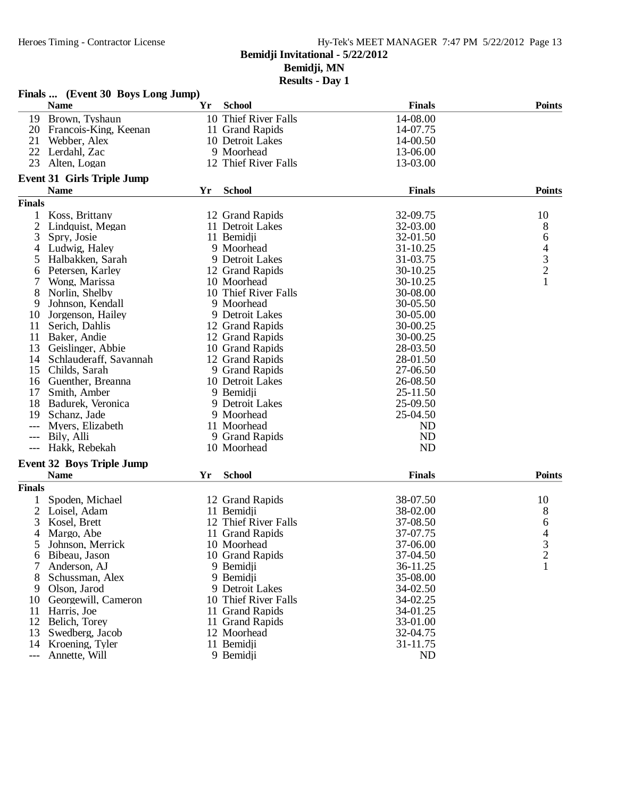| <b>Results - Day 1</b> |  |  |  |
|------------------------|--|--|--|
|------------------------|--|--|--|

|                | Finals  (Event 30 Boys Long Jump)       |    |                                    |               |                                            |
|----------------|-----------------------------------------|----|------------------------------------|---------------|--------------------------------------------|
|                | <b>Name</b>                             | Yr | <b>School</b>                      | <b>Finals</b> | <b>Points</b>                              |
| 19             | Brown, Tyshaun                          |    | 10 Thief River Falls               | 14-08.00      |                                            |
| 20             | Francois-King, Keenan                   |    | 11 Grand Rapids                    | 14-07.75      |                                            |
| 21             | Webber, Alex                            |    | 10 Detroit Lakes                   | 14-00.50      |                                            |
| 22             | Lerdahl, Zac                            |    | 9 Moorhead                         | 13-06.00      |                                            |
| 23             | Alten, Logan                            |    | 12 Thief River Falls               | 13-03.00      |                                            |
|                | <b>Event 31 Girls Triple Jump</b>       |    |                                    |               |                                            |
|                | <b>Name</b>                             | Yr | <b>School</b>                      | <b>Finals</b> | <b>Points</b>                              |
| <b>Finals</b>  |                                         |    |                                    |               |                                            |
|                | Koss, Brittany                          |    | 12 Grand Rapids                    | 32-09.75      | 10                                         |
| $\overline{2}$ | Lindquist, Megan                        |    | 11 Detroit Lakes                   | 32-03.00      | 8                                          |
| 3              | Spry, Josie                             |    | 11 Bemidji                         | 32-01.50      | 6                                          |
| 4              | Ludwig, Haley                           |    | 9 Moorhead                         | 31-10.25      |                                            |
| 5              | Halbakken, Sarah                        |    | 9 Detroit Lakes                    | 31-03.75      | $\begin{array}{c} 4 \\ 3 \\ 2 \end{array}$ |
| 6              | Petersen, Karley                        |    | 12 Grand Rapids                    | 30-10.25      |                                            |
|                | Wong, Marissa                           |    | 10 Moorhead                        | 30-10.25      | $\mathbf{1}$                               |
|                | Norlin, Shelby                          |    | 10 Thief River Falls               | 30-08.00      |                                            |
| 8<br>9         | Johnson, Kendall                        |    | 9 Moorhead                         | 30-05.50      |                                            |
| 10             |                                         |    | 9 Detroit Lakes                    | 30-05.00      |                                            |
| 11             | Jorgenson, Hailey                       |    |                                    | 30-00.25      |                                            |
| 11             | Serich, Dahlis                          |    | 12 Grand Rapids<br>12 Grand Rapids |               |                                            |
| 13             | Baker, Andie                            |    |                                    | 30-00.25      |                                            |
|                | Geislinger, Abbie                       |    | 10 Grand Rapids                    | 28-03.50      |                                            |
| 14             | Schlauderaff, Savannah<br>Childs, Sarah |    | 12 Grand Rapids                    | 28-01.50      |                                            |
| 15             |                                         |    | 9 Grand Rapids                     | 27-06.50      |                                            |
| 16             | Guenther, Breanna                       |    | 10 Detroit Lakes                   | 26-08.50      |                                            |
| 17             | Smith, Amber                            |    | 9 Bemidji                          | 25-11.50      |                                            |
| 18             | Badurek, Veronica                       |    | 9 Detroit Lakes                    | 25-09.50      |                                            |
| 19             | Schanz, Jade                            |    | 9 Moorhead                         | 25-04.50      |                                            |
|                | Myers, Elizabeth                        |    | 11 Moorhead                        | <b>ND</b>     |                                            |
| $---$          | Bily, Alli                              |    | 9 Grand Rapids                     | <b>ND</b>     |                                            |
| $---$          | Hakk, Rebekah                           |    | 10 Moorhead                        | <b>ND</b>     |                                            |
|                | <b>Event 32 Boys Triple Jump</b>        |    |                                    |               |                                            |
|                | <b>Name</b>                             | Yr | <b>School</b>                      | <b>Finals</b> | <b>Points</b>                              |
| <b>Finals</b>  |                                         |    |                                    |               |                                            |
|                | Spoden, Michael                         |    | 12 Grand Rapids                    | 38-07.50      | 10                                         |
| 2              | Loisel, Adam                            |    | 11 Bemidji                         | 38-02.00      | 8                                          |
| 3              | Kosel, Brett                            |    | 12 Thief River Falls               | 37-08.50      | 6                                          |
| 4              | Margo, Abe                              |    | 11 Grand Rapids                    | 37-07.75      | 4                                          |
| 5              | Johnson, Merrick                        |    | 10 Moorhead                        | 37-06.00      | 3                                          |
| 6              | Bibeau, Jason                           |    | 10 Grand Rapids                    | 37-04.50      | $\overline{c}$                             |
|                | Anderson, AJ                            |    | 9 Bemidji                          | 36-11.25      | 1                                          |
| 8              | Schussman, Alex                         |    | 9 Bemidji                          | 35-08.00      |                                            |
| 9              | Olson, Jarod                            |    | 9 Detroit Lakes                    | 34-02.50      |                                            |
| 10             | Georgewill, Cameron                     |    | 10 Thief River Falls               | 34-02.25      |                                            |
| 11             | Harris, Joe                             |    | 11 Grand Rapids                    | 34-01.25      |                                            |
| 12             | Belich, Torey                           |    | 11 Grand Rapids                    | 33-01.00      |                                            |
| 13             | Swedberg, Jacob                         |    | 12 Moorhead                        | 32-04.75      |                                            |
| 14             | Kroening, Tyler                         |    | 11 Bemidji                         | 31-11.75      |                                            |
| ---            | Annette, Will                           |    | 9 Bemidii                          | <b>ND</b>     |                                            |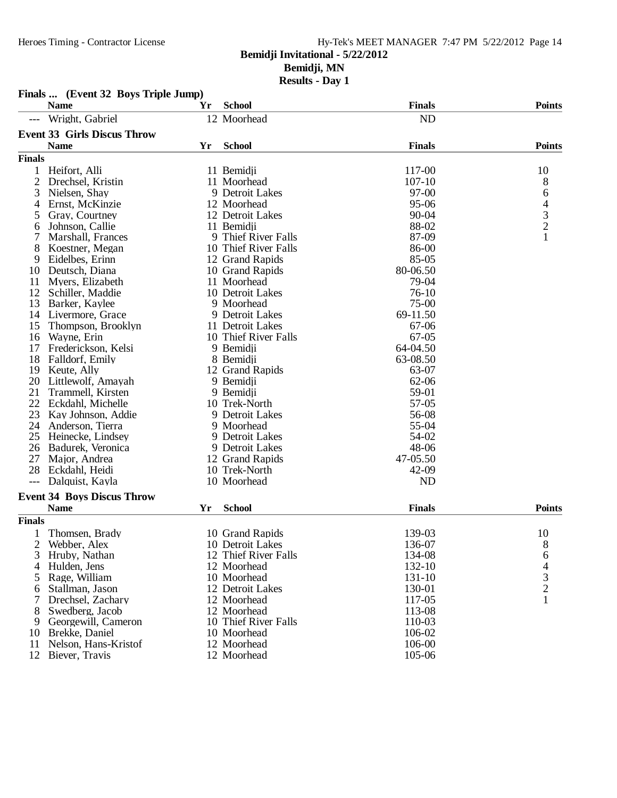## Heroes Timing - Contractor License Hy-Tek's MEET MANAGER 7:47 PM 5/22/2012 Page 14 **Bemidji Invitational - 5/22/2012 Bemidji, MN**

|               | Finals  (Event 32 Boys Triple Jump) |    |                      |               |                          |
|---------------|-------------------------------------|----|----------------------|---------------|--------------------------|
|               | <b>Name</b>                         | Yr | <b>School</b>        | <b>Finals</b> | <b>Points</b>            |
|               | Wright, Gabriel                     |    | 12 Moorhead          | <b>ND</b>     |                          |
|               | <b>Event 33 Girls Discus Throw</b>  |    |                      |               |                          |
|               | <b>Name</b>                         | Yr | <b>School</b>        | <b>Finals</b> | <b>Points</b>            |
| <b>Finals</b> |                                     |    |                      |               |                          |
| 1             | Heifort, Alli                       |    | 11 Bemidji           | 117-00        | 10                       |
| 2             | Drechsel, Kristin                   |    | 11 Moorhead          | $107 - 10$    | 8                        |
| 3             | Nielsen, Shay                       |    | 9 Detroit Lakes      | 97-00         |                          |
| 4             | Ernst, McKinzie                     |    | 12 Moorhead          | 95-06         |                          |
| 5             | Gray, Courtney                      |    | 12 Detroit Lakes     | 90-04         |                          |
| 6             | Johnson, Callie                     |    | 11 Bemidii           | 88-02         | 64321                    |
|               | Marshall, Frances                   |    | 9 Thief River Falls  | 87-09         |                          |
| 8             | Koestner, Megan                     |    | 10 Thief River Falls | 86-00         |                          |
| 9             | Eidelbes, Erinn                     |    | 12 Grand Rapids      | 85-05         |                          |
| 10            | Deutsch, Diana                      |    | 10 Grand Rapids      | 80-06.50      |                          |
| 11            | Myers, Elizabeth                    |    | 11 Moorhead          | 79-04         |                          |
| 12            | Schiller, Maddie                    |    | 10 Detroit Lakes     | $76-10$       |                          |
| 13            | Barker, Kaylee                      |    | 9 Moorhead           | $75-00$       |                          |
| 14            | Livermore, Grace                    |    | 9 Detroit Lakes      | 69-11.50      |                          |
| 15            | Thompson, Brooklyn                  |    | 11 Detroit Lakes     | 67-06         |                          |
| 16            | Wayne, Erin                         |    | 10 Thief River Falls | $67-05$       |                          |
| 17            | Frederickson, Kelsi                 |    | 9 Bemidji            | 64-04.50      |                          |
| 18            | Falldorf, Emily                     |    | 8 Bemidji            | 63-08.50      |                          |
| 19            | Keute, Ally                         |    | 12 Grand Rapids      | 63-07         |                          |
| 20            | Littlewolf, Amayah                  |    | 9 Bemidji            | 62-06         |                          |
| 21            | Trammell, Kirsten                   |    | 9 Bemidji            | 59-01         |                          |
| 22            | Eckdahl, Michelle                   |    | 10 Trek-North        | 57-05         |                          |
| 23            | Kay Johnson, Addie                  |    | 9 Detroit Lakes      | 56-08         |                          |
| 24            | Anderson, Tierra                    |    | 9 Moorhead           | 55-04         |                          |
| 25            | Heinecke, Lindsey                   |    | 9 Detroit Lakes      | 54-02         |                          |
| 26            | Badurek, Veronica                   |    | 9 Detroit Lakes      | 48-06         |                          |
| 27            | Major, Andrea                       |    | 12 Grand Rapids      | 47-05.50      |                          |
| 28            | Eckdahl, Heidi                      |    | 10 Trek-North        | 42-09         |                          |
| $---$         | Dalquist, Kayla                     |    | 10 Moorhead          | <b>ND</b>     |                          |
|               | <b>Event 34 Boys Discus Throw</b>   |    |                      |               |                          |
|               | <b>Name</b>                         | Yr | <b>School</b>        | <b>Finals</b> | <b>Points</b>            |
| <b>Finals</b> |                                     |    |                      |               |                          |
|               | Thomsen, Brady                      |    | 10 Grand Rapids      | 139-03        | 10                       |
| 2             | Webber, Alex                        |    | 10 Detroit Lakes     | 136-07        | 8                        |
| 3             | Hruby, Nathan                       |    | 12 Thief River Falls | 134-08        | 6                        |
| 4             | Hulden, Jens                        |    | 12 Moorhead          | 132-10        | $\overline{\mathcal{L}}$ |
| 5             | Rage, William                       |    | 10 Moorhead          | 131-10        |                          |
| 6             | Stallman, Jason                     |    | 12 Detroit Lakes     | 130-01        | $\frac{3}{2}$            |
|               | Drechsel, Zachary                   |    | 12 Moorhead          | 117-05        | $\mathbf{1}$             |
| 8             | Swedberg, Jacob                     |    | 12 Moorhead          | 113-08        |                          |
| 9             | Georgewill, Cameron                 |    | 10 Thief River Falls | 110-03        |                          |
| 10            | Brekke, Daniel                      |    | 10 Moorhead          | 106-02        |                          |
| 11            | Nelson, Hans-Kristof                |    | 12 Moorhead          | 106-00        |                          |
| 12            | Biever, Travis                      |    | 12 Moorhead          | 105-06        |                          |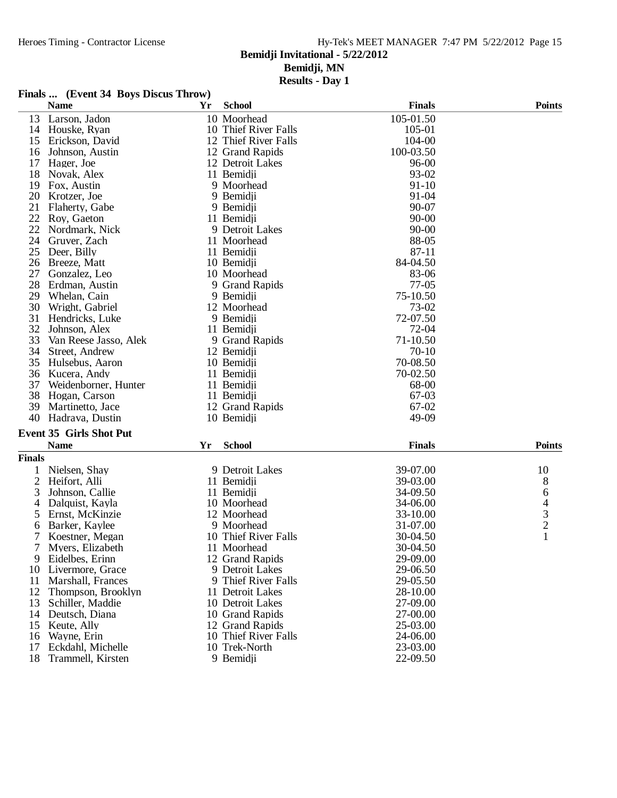## Hy-Tek's MEET MANAGER 7:47 PM 5/22/2012 Page 15

## **Bemidji Invitational - 5/22/2012**

**Bemidji, MN**

|               | Finals  (Event 34 Boys Discus Throw)          |    |                      |               |                          |
|---------------|-----------------------------------------------|----|----------------------|---------------|--------------------------|
|               | <b>Name</b>                                   | Yr | <b>School</b>        | <b>Finals</b> | <b>Points</b>            |
| 13            | Larson, Jadon                                 |    | 10 Moorhead          | 105-01.50     |                          |
|               | 14 Houske, Ryan                               |    | 10 Thief River Falls | 105-01        |                          |
| 15            | Erickson, David                               |    | 12 Thief River Falls | 104-00        |                          |
| 16            | Johnson, Austin                               |    | 12 Grand Rapids      | 100-03.50     |                          |
| 17            | Hager, Joe                                    |    | 12 Detroit Lakes     | 96-00         |                          |
| 18            | Novak, Alex                                   |    | 11 Bemidji           | 93-02         |                          |
| 19            | Fox, Austin                                   |    | 9 Moorhead           | 91-10         |                          |
| 20            | Krotzer, Joe                                  |    | 9 Bemidji            | 91-04         |                          |
| 21            | Flaherty, Gabe                                |    | 9 Bemidji            | 90-07         |                          |
| 22            | Roy, Gaeton                                   |    | 11 Bemidji           | $90 - 00$     |                          |
| 22            | Nordmark, Nick                                |    | 9 Detroit Lakes      | $90 - 00$     |                          |
| 24            | Gruver, Zach                                  |    | 11 Moorhead          | 88-05         |                          |
| 25            | Deer, Billy                                   |    | 11 Bemidji           | 87-11         |                          |
| 26            | Breeze, Matt                                  |    | 10 Bemidji           | 84-04.50      |                          |
| 27            | Gonzalez, Leo                                 |    | 10 Moorhead          | 83-06         |                          |
| 28            | Erdman, Austin                                |    | 9 Grand Rapids       | $77-05$       |                          |
| 29            | Whelan, Cain                                  |    | 9 Bemidji            | 75-10.50      |                          |
| 30            | Wright, Gabriel                               |    | 12 Moorhead          | 73-02         |                          |
| 31            | Hendricks, Luke                               |    | 9 Bemidji            | 72-07.50      |                          |
| 32            | Johnson, Alex                                 |    | 11 Bemidji           | 72-04         |                          |
| 33            | Van Reese Jasso, Alek                         |    | 9 Grand Rapids       | 71-10.50      |                          |
| 34            | Street, Andrew                                |    | 12 Bemidji           | $70-10$       |                          |
| 35            | Hulsebus, Aaron                               |    | 10 Bemidji           | 70-08.50      |                          |
| 36            | Kucera, Andy                                  |    | 11 Bemidji           | 70-02.50      |                          |
| 37            | Weidenborner, Hunter                          |    | 11 Bemidji           | 68-00         |                          |
| 38            | Hogan, Carson                                 |    | 11 Bemidji           | 67-03         |                          |
| 39            | Martinetto, Jace                              |    | 12 Grand Rapids      | 67-02         |                          |
| 40            | Hadrava, Dustin                               |    | 10 Bemidji           | 49-09         |                          |
|               |                                               |    |                      |               |                          |
|               | <b>Event 35 Girls Shot Put</b><br><b>Name</b> |    |                      |               | <b>Points</b>            |
|               |                                               | Yr | <b>School</b>        | <b>Finals</b> |                          |
| <b>Finals</b> |                                               |    |                      |               |                          |
|               | Nielsen, Shay                                 |    | 9 Detroit Lakes      | 39-07.00      | 10                       |
| 2             | Heifort, Alli                                 |    | 11 Bemidji           | 39-03.00      | 8                        |
| 3             | Johnson, Callie                               |    | 11 Bemidji           | 34-09.50      | 6                        |
| 4             | Dalquist, Kayla                               |    | 10 Moorhead          | 34-06.00      | $\overline{\mathcal{L}}$ |
| 5             | Ernst, McKinzie                               |    | 12 Moorhead          | 33-10.00      | $\frac{3}{2}$            |
| 6             | Barker, Kaylee                                |    | 9 Moorhead           | 31-07.00      |                          |
| 7             | Koestner, Megan                               |    | 10 Thief River Falls | 30-04.50      |                          |
|               | Myers, Elizabeth                              |    | 11 Moorhead          | 30-04.50      |                          |
| 9             | Eidelbes, Erinn                               |    | 12 Grand Rapids      | 29-09.00      |                          |
| 10            | Livermore, Grace                              |    | 9 Detroit Lakes      | 29-06.50      |                          |
| 11            | Marshall, Frances                             |    | 9 Thief River Falls  | 29-05.50      |                          |
| 12            | Thompson, Brooklyn                            |    | 11 Detroit Lakes     | 28-10.00      |                          |
| 13            | Schiller, Maddie                              |    | 10 Detroit Lakes     | 27-09.00      |                          |
| 14            | Deutsch, Diana                                |    | 10 Grand Rapids      | 27-00.00      |                          |
| 15            | Keute, Ally                                   |    | 12 Grand Rapids      | 25-03.00      |                          |
| 16            | Wayne, Erin                                   |    | 10 Thief River Falls | 24-06.00      |                          |
| 17            | Eckdahl, Michelle                             |    | 10 Trek-North        | 23-03.00      |                          |
| 18            | Trammell, Kirsten                             |    | 9 Bemidji            | 22-09.50      |                          |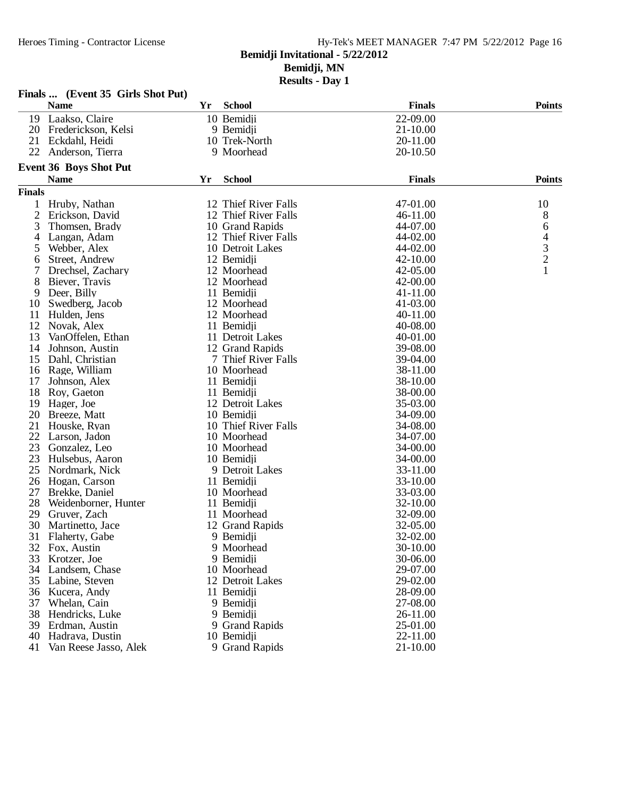#### Heroes Timing - Contractor License Hy-Tek's MEET MANAGER 7:47 PM 5/22/2012 Page 16 **Bemidji Invitational - 5/22/2012**

**Bemidji, MN**

|               | Finals  (Event 35 Girls Shot Put) |    |                      |               |                |
|---------------|-----------------------------------|----|----------------------|---------------|----------------|
|               | <b>Name</b>                       | Yr | <b>School</b>        | <b>Finals</b> | <b>Points</b>  |
| 19            | Laakso, Claire                    |    | 10 Bemidji           | 22-09.00      |                |
| 20            | Frederickson, Kelsi               |    | 9 Bemidji            | 21-10.00      |                |
| 21            | Eckdahl, Heidi                    |    | 10 Trek-North        | 20-11.00      |                |
| 22            | Anderson, Tierra                  |    | 9 Moorhead           | 20-10.50      |                |
|               | <b>Event 36 Boys Shot Put</b>     |    |                      |               |                |
|               | <b>Name</b>                       | Yr | <b>School</b>        | <b>Finals</b> | <b>Points</b>  |
| <b>Finals</b> |                                   |    |                      |               |                |
| 1             | Hruby, Nathan                     |    | 12 Thief River Falls | 47-01.00      | 10             |
| 2             | Erickson, David                   |    | 12 Thief River Falls | 46-11.00      | 8              |
| 3             | Thomsen, Brady                    |    | 10 Grand Rapids      | 44-07.00      | 6              |
| 4             | Langan, Adam                      |    | 12 Thief River Falls | 44-02.00      | $\overline{4}$ |
| 5             | Webber, Alex                      |    | 10 Detroit Lakes     | 44-02.00      | 3              |
| 6             | Street, Andrew                    |    | 12 Bemidji           | 42-10.00      | $\overline{c}$ |
| 7             | Drechsel, Zachary                 |    | 12 Moorhead          | 42-05.00      | 1              |
| 8             | Biever, Travis                    |    | 12 Moorhead          | 42-00.00      |                |
| 9             | Deer, Billy                       |    | 11 Bemidji           | 41-11.00      |                |
| 10            | Swedberg, Jacob                   |    | 12 Moorhead          | 41-03.00      |                |
| 11            | Hulden, Jens                      |    | 12 Moorhead          | 40-11.00      |                |
| 12            | Novak, Alex                       |    | 11 Bemidji           | 40-08.00      |                |
| 13            | VanOffelen, Ethan                 |    | 11 Detroit Lakes     | 40-01.00      |                |
| 14            | Johnson, Austin                   |    | 12 Grand Rapids      | 39-08.00      |                |
| 15            | Dahl, Christian                   |    | 7 Thief River Falls  | 39-04.00      |                |
| 16            | Rage, William                     |    | 10 Moorhead          | 38-11.00      |                |
| 17            | Johnson, Alex                     |    | 11 Bemidji           | 38-10.00      |                |
| 18            | Roy, Gaeton                       |    | 11 Bemidji           | 38-00.00      |                |
| 19            | Hager, Joe                        |    | 12 Detroit Lakes     | 35-03.00      |                |
| 20            | Breeze, Matt                      |    | 10 Bemidji           | 34-09.00      |                |
| 21            | Houske, Ryan                      |    | 10 Thief River Falls | 34-08.00      |                |
| 22            | Larson, Jadon                     |    | 10 Moorhead          | 34-07.00      |                |
| 23            | Gonzalez, Leo                     |    | 10 Moorhead          | 34-00.00      |                |
| 23            | Hulsebus, Aaron                   |    | 10 Bemidji           | 34-00.00      |                |
| 25            | Nordmark, Nick                    |    | 9 Detroit Lakes      | 33-11.00      |                |
| 26            | Hogan, Carson                     |    | 11 Bemidji           | 33-10.00      |                |
| 27            | Brekke, Daniel                    |    | 10 Moorhead          | 33-03.00      |                |
| 28            | Weidenborner, Hunter              |    | 11 Bemidji           | 32-10.00      |                |
| 29            | Gruver, Zach                      |    | 11 Moorhead          | 32-09.00      |                |
| 30            | Martinetto, Jace                  |    | 12 Grand Rapids      | 32-05.00      |                |
|               | 31 Flaherty, Gabe                 |    | 9 Bemidji            | 32-02.00      |                |
|               | 32 Fox, Austin                    |    | 9 Moorhead           | 30-10.00      |                |
| 33            | Krotzer, Joe                      |    | 9 Bemidji            | 30-06.00      |                |
| 34            | Landsem, Chase                    |    | 10 Moorhead          | 29-07.00      |                |
| 35            | Labine, Steven                    |    | 12 Detroit Lakes     | 29-02.00      |                |
|               | 36 Kucera, Andy                   |    | 11 Bemidji           | 28-09.00      |                |
| 37            | Whelan, Cain                      |    | 9 Bemidji            | 27-08.00      |                |
| 38            | Hendricks, Luke                   |    | 9 Bemidji            | 26-11.00      |                |
| 39            | Erdman, Austin                    |    | 9 Grand Rapids       | 25-01.00      |                |
| 40            | Hadrava, Dustin                   |    | 10 Bemidji           | 22-11.00      |                |
| 41            | Van Reese Jasso, Alek             |    | 9 Grand Rapids       | 21-10.00      |                |